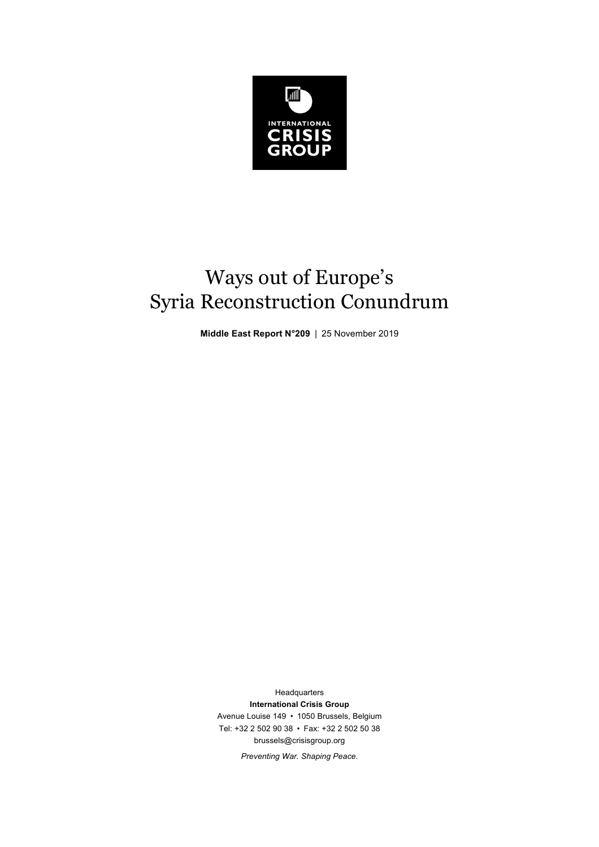

# Ways out of Europe's Syria Reconstruction Conundrum

**Middle East Report N°209** | 25 November 2019

Headquarters **International Crisis Group** Avenue Louise 149 • 1050 Brussels, Belgium Tel: +32 2 502 90 38 • Fax: +32 2 502 50 38 brussels@crisisgroup.org

*Preventing War. Shaping Peace.*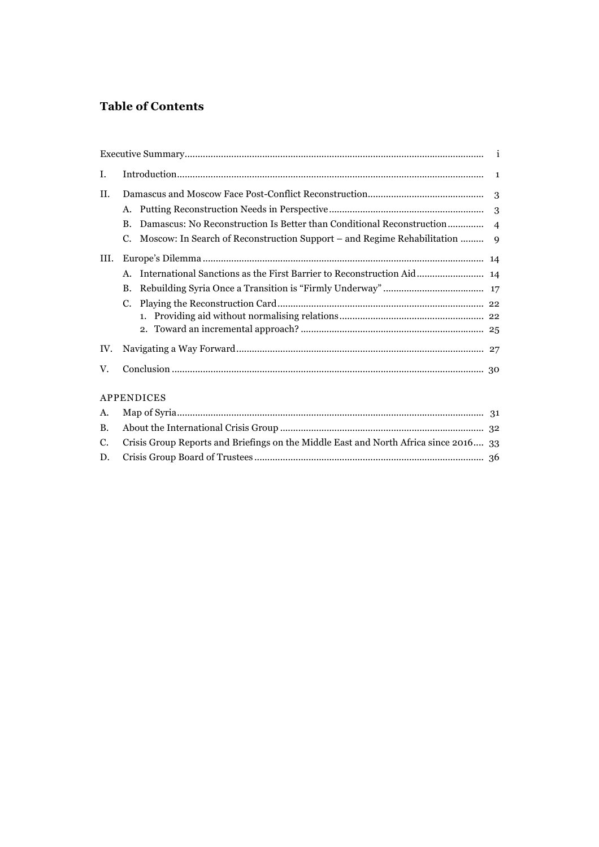# **Table of Contents**

| Ι.        |                                                                                      |  |
|-----------|--------------------------------------------------------------------------------------|--|
| Н.        |                                                                                      |  |
|           |                                                                                      |  |
|           | $\bf{B}$ .                                                                           |  |
|           | C.                                                                                   |  |
| III.      |                                                                                      |  |
|           |                                                                                      |  |
|           | <b>B.</b>                                                                            |  |
|           | C.                                                                                   |  |
|           |                                                                                      |  |
|           |                                                                                      |  |
| IV.       |                                                                                      |  |
| V.        |                                                                                      |  |
|           | APPENDICES                                                                           |  |
| A.        |                                                                                      |  |
| <b>B.</b> |                                                                                      |  |
| C.        | Crisis Group Reports and Briefings on the Middle East and North Africa since 2016 33 |  |

D. Crisis Group Board of Trustees ......................................................................................... 36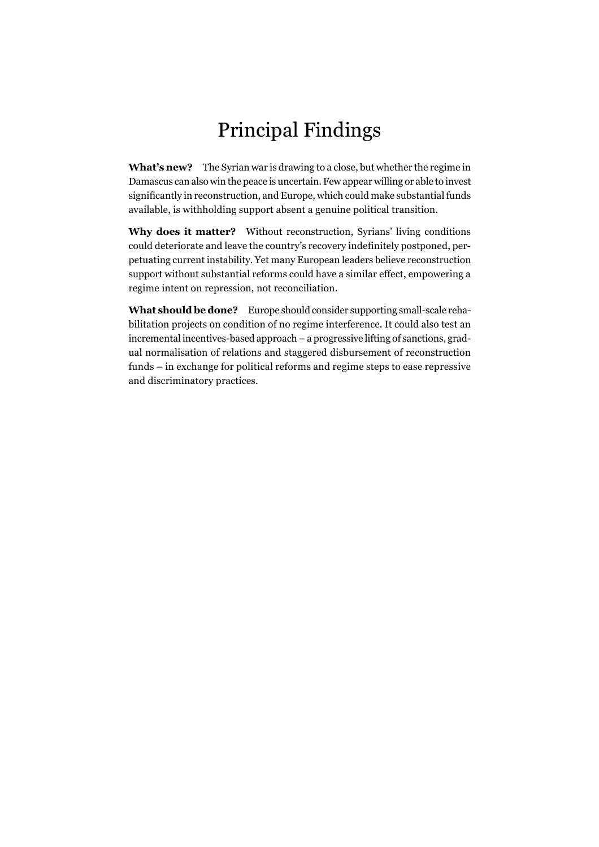# Principal Findings

**What's new?** The Syrian war is drawing to a close, but whether the regime in Damascus can also win the peace is uncertain. Few appear willing or able to invest significantly in reconstruction, and Europe, which could make substantial funds available, is withholding support absent a genuine political transition.

**Why does it matter?** Without reconstruction, Syrians' living conditions could deteriorate and leave the country's recovery indefinitely postponed, perpetuating current instability. Yet many European leaders believe reconstruction support without substantial reforms could have a similar effect, empowering a regime intent on repression, not reconciliation.

**What should be done?** Europe should consider supporting small-scale rehabilitation projects on condition of no regime interference. It could also test an incremental incentives-based approach – a progressive lifting of sanctions, gradual normalisation of relations and staggered disbursement of reconstruction funds – in exchange for political reforms and regime steps to ease repressive and discriminatory practices.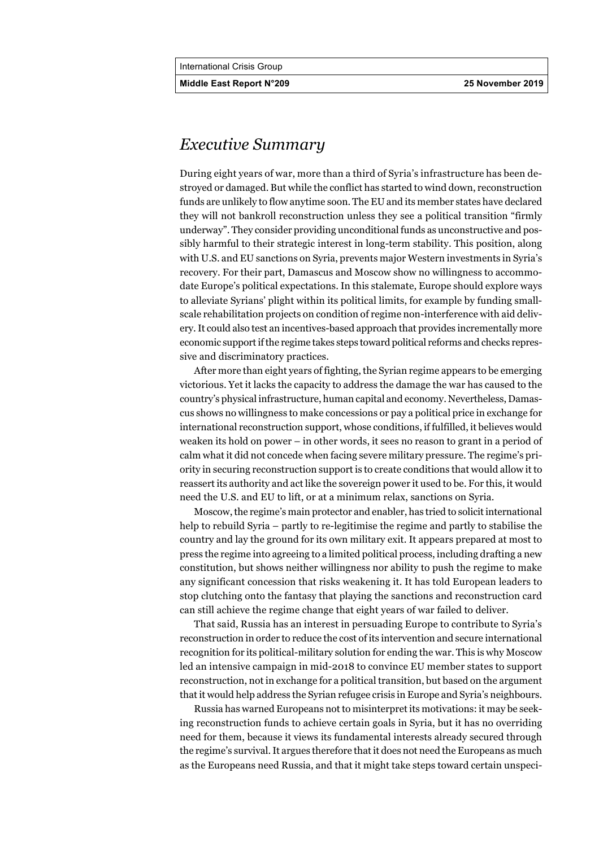**Middle East Report N°209 25 November 2019**

# *Executive Summary*

During eight years of war, more than a third of Syria's infrastructure has been destroyed or damaged. But while the conflict has started to wind down, reconstruction funds are unlikely to flow anytime soon. The EU and its member states have declared they will not bankroll reconstruction unless they see a political transition "firmly underway". They consider providing unconditional funds as unconstructive and possibly harmful to their strategic interest in long-term stability. This position, along with U.S. and EU sanctions on Syria, prevents major Western investments in Syria's recovery. For their part, Damascus and Moscow show no willingness to accommodate Europe's political expectations. In this stalemate, Europe should explore ways to alleviate Syrians' plight within its political limits, for example by funding smallscale rehabilitation projects on condition of regime non-interference with aid delivery. It could also test an incentives-based approach that provides incrementally more economic support if the regime takes steps toward political reforms and checks repressive and discriminatory practices.

After more than eight years of fighting, the Syrian regime appears to be emerging victorious. Yet it lacks the capacity to address the damage the war has caused to the country's physical infrastructure, human capital and economy. Nevertheless, Damascus shows no willingness to make concessions or pay a political price in exchange for international reconstruction support, whose conditions, if fulfilled, it believes would weaken its hold on power – in other words, it sees no reason to grant in a period of calm what it did not concede when facing severe military pressure. The regime's priority in securing reconstruction support is to create conditions that would allow it to reassert its authority and act like the sovereign power it used to be. For this, it would need the U.S. and EU to lift, or at a minimum relax, sanctions on Syria.

Moscow, the regime's main protector and enabler, has tried to solicit international help to rebuild Syria – partly to re-legitimise the regime and partly to stabilise the country and lay the ground for its own military exit. It appears prepared at most to press the regime into agreeing to a limited political process, including drafting a new constitution, but shows neither willingness nor ability to push the regime to make any significant concession that risks weakening it. It has told European leaders to stop clutching onto the fantasy that playing the sanctions and reconstruction card can still achieve the regime change that eight years of war failed to deliver.

That said, Russia has an interest in persuading Europe to contribute to Syria's reconstruction in order to reduce the cost of its intervention and secure international recognition for its political-military solution for ending the war. This is why Moscow led an intensive campaign in mid-2018 to convince EU member states to support reconstruction, not in exchange for a political transition, but based on the argument that it would help address the Syrian refugee crisis in Europe and Syria's neighbours.

Russia has warned Europeans not to misinterpret its motivations: it may be seeking reconstruction funds to achieve certain goals in Syria, but it has no overriding need for them, because it views its fundamental interests already secured through the regime's survival. It argues therefore that it does not need the Europeans as much as the Europeans need Russia, and that it might take steps toward certain unspeci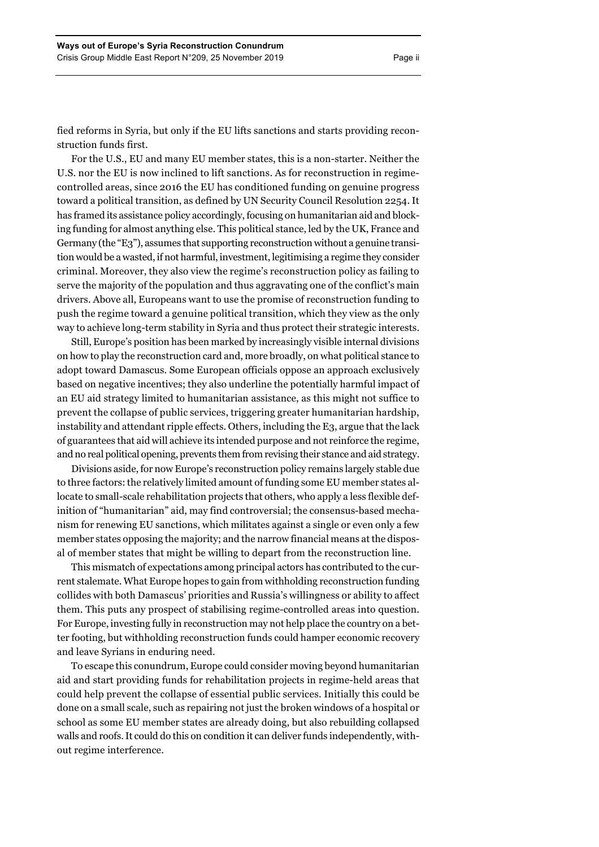fied reforms in Syria, but only if the EU lifts sanctions and starts providing reconstruction funds first.

For the U.S., EU and many EU member states, this is a non-starter. Neither the U.S. nor the EU is now inclined to lift sanctions. As for reconstruction in regimecontrolled areas, since 2016 the EU has conditioned funding on genuine progress toward a political transition, as defined by UN Security Council Resolution 2254. It has framed its assistance policy accordingly, focusing on humanitarian aid and blocking funding for almost anything else. This political stance, led by the UK, France and Germany (the "E3"), assumes that supporting reconstruction without a genuine transition would be a wasted, if not harmful, investment, legitimising a regime they consider criminal. Moreover, they also view the regime's reconstruction policy as failing to serve the majority of the population and thus aggravating one of the conflict's main drivers. Above all, Europeans want to use the promise of reconstruction funding to push the regime toward a genuine political transition, which they view as the only way to achieve long-term stability in Syria and thus protect their strategic interests.

Still, Europe's position has been marked by increasingly visible internal divisions on how to play the reconstruction card and, more broadly, on what political stance to adopt toward Damascus. Some European officials oppose an approach exclusively based on negative incentives; they also underline the potentially harmful impact of an EU aid strategy limited to humanitarian assistance, as this might not suffice to prevent the collapse of public services, triggering greater humanitarian hardship, instability and attendant ripple effects. Others, including the E3, argue that the lack of guarantees that aid will achieve its intended purpose and not reinforce the regime, and no real political opening, prevents them from revising their stance and aid strategy.

Divisions aside, for now Europe's reconstruction policy remains largely stable due to three factors: the relatively limited amount of funding some EU member states allocate to small-scale rehabilitation projects that others, who apply a less flexible definition of "humanitarian" aid, may find controversial; the consensus-based mechanism for renewing EU sanctions, which militates against a single or even only a few member states opposing the majority; and the narrow financial means at the disposal of member states that might be willing to depart from the reconstruction line.

This mismatch of expectations among principal actors has contributed to the current stalemate. What Europe hopes to gain from withholding reconstruction funding collides with both Damascus' priorities and Russia's willingness or ability to affect them. This puts any prospect of stabilising regime-controlled areas into question. For Europe, investing fully in reconstruction may not help place the country on a better footing, but withholding reconstruction funds could hamper economic recovery and leave Syrians in enduring need.

To escape this conundrum, Europe could consider moving beyond humanitarian aid and start providing funds for rehabilitation projects in regime-held areas that could help prevent the collapse of essential public services. Initially this could be done on a small scale, such as repairing not just the broken windows of a hospital or school as some EU member states are already doing, but also rebuilding collapsed walls and roofs. It could do this on condition it can deliver funds independently, without regime interference.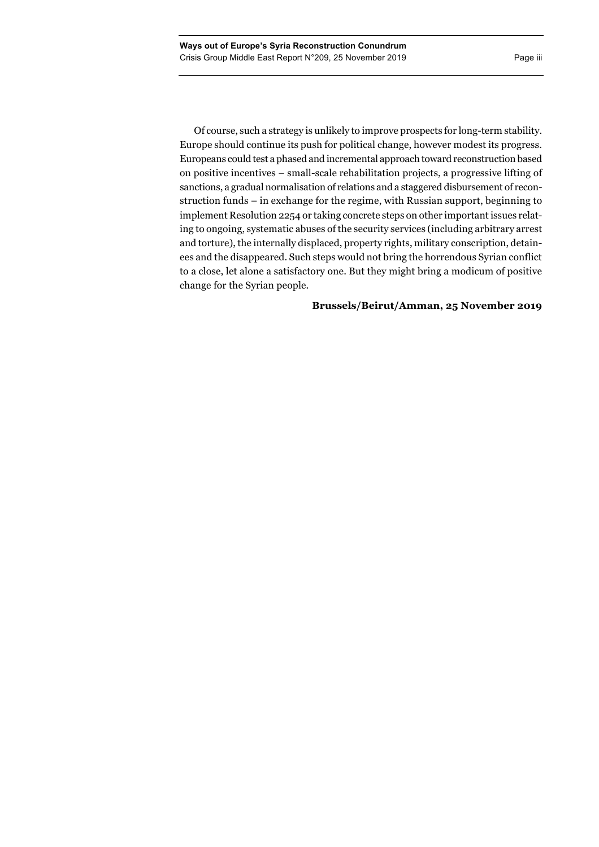Of course, such a strategy is unlikely to improve prospects for long-term stability. Europe should continue its push for political change, however modest its progress. Europeans could test a phased and incremental approach toward reconstruction based on positive incentives – small-scale rehabilitation projects, a progressive lifting of sanctions, a gradual normalisation of relations and a staggered disbursement of reconstruction funds – in exchange for the regime, with Russian support, beginning to implement Resolution 2254 or taking concrete steps on other important issues relating to ongoing, systematic abuses of the security services (including arbitrary arrest and torture), the internally displaced, property rights, military conscription, detainees and the disappeared. Such steps would not bring the horrendous Syrian conflict to a close, let alone a satisfactory one. But they might bring a modicum of positive change for the Syrian people.

# **Brussels/Beirut/Amman, 25 November 2019**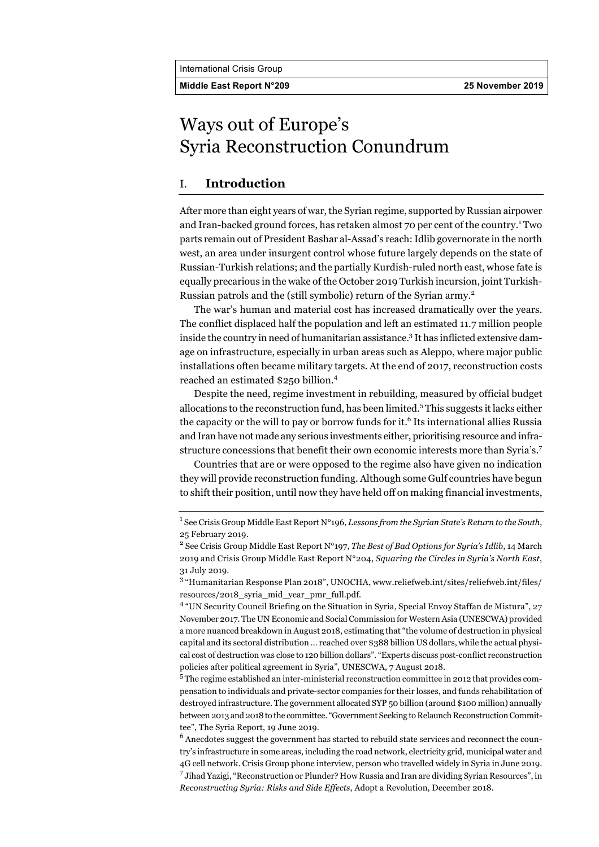**Middle East Report N°209 25 November 2019**

# Ways out of Europe's Syria Reconstruction Conundrum

# I. **Introduction**

After more than eight years of war, the Syrian regime, supported by Russian airpower and Iran-backed ground forces, has retaken almost 70 per cent of the country.<sup>1</sup> Two parts remain out of President Bashar al-Assad's reach: Idlib governorate in the north west, an area under insurgent control whose future largely depends on the state of Russian-Turkish relations; and the partially Kurdish-ruled north east, whose fate is equally precarious in the wake of the October 2019 Turkish incursion, joint Turkish-Russian patrols and the (still symbolic) return of the Syrian army.<sup>2</sup>

The war's human and material cost has increased dramatically over the years. The conflict displaced half the population and left an estimated 11.7 million people inside the country in need of humanitarian assistance.<sup>3</sup> It has inflicted extensive damage on infrastructure, especially in urban areas such as Aleppo, where major public installations often became military targets. At the end of 2017, reconstruction costs reached an estimated \$250 billion.<sup>4</sup>

Despite the need, regime investment in rebuilding, measured by official budget allocations to the reconstruction fund, has been limited.<sup>5</sup> This suggests it lacks either the capacity or the will to pay or borrow funds for it.<sup>6</sup> Its international allies Russia and Iran have not made any serious investments either, prioritising resource and infrastructure concessions that benefit their own economic interests more than Syria's.<sup>7</sup>

Countries that are or were opposed to the regime also have given no indication they will provide reconstruction funding. Although some Gulf countries have begun to shift their position, until now they have held off on making financial investments,

<sup>1</sup> See Crisis Group Middle East Report N°196, *Lessons from the Syrian State's Return to the South*, 25 February 2019.

<sup>&</sup>lt;sup>2</sup> See Crisis Group Middle East Report N°197, *The Best of Bad Options for Syria's Idlib*, 14 March 2019 and Crisis Group Middle East Report N°204, *Squaring the Circles in Syria's North East*, 31 July 2019.

<sup>3</sup> "Humanitarian Response Plan 2018", UNOCHA, www.reliefweb.int/sites/reliefweb.int/files/ resources/2018\_syria\_mid\_year\_pmr\_full.pdf.

<sup>4</sup> "UN Security Council Briefing on the Situation in Syria, Special Envoy Staffan de Mistura", 27 November 2017. The UN Economic and Social Commission for Western Asia (UNESCWA) provided a more nuanced breakdown in August 2018, estimating that "the volume of destruction in physical capital and its sectoral distribution … reached over \$388 billion US dollars, while the actual physical cost of destruction was close to 120 billion dollars". "Experts discuss post-conflict reconstruction policies after political agreement in Syria", UNESCWA, 7 August 2018.

<sup>5</sup> The regime established an inter-ministerial reconstruction committee in 2012 that provides compensation to individuals and private-sector companies for their losses, and funds rehabilitation of destroyed infrastructure. The government allocated SYP 50 billion (around \$100 million) annually between 2013 and 2018 to the committee. "Government Seeking to Relaunch Reconstruction Committee", The Syria Report, 19 June 2019.

<sup>&</sup>lt;sup>6</sup> Anecdotes suggest the government has started to rebuild state services and reconnect the country's infrastructure in some areas, including the road network, electricity grid, municipal water and 4G cell network. Crisis Group phone interview, person who travelled widely in Syria in June 2019.  $^7$  Jihad Yazigi, "Reconstruction or Plunder? How Russia and Iran are dividing Syrian Resources", in *Reconstructing Syria: Risks and Side Effects*, Adopt a Revolution, December 2018.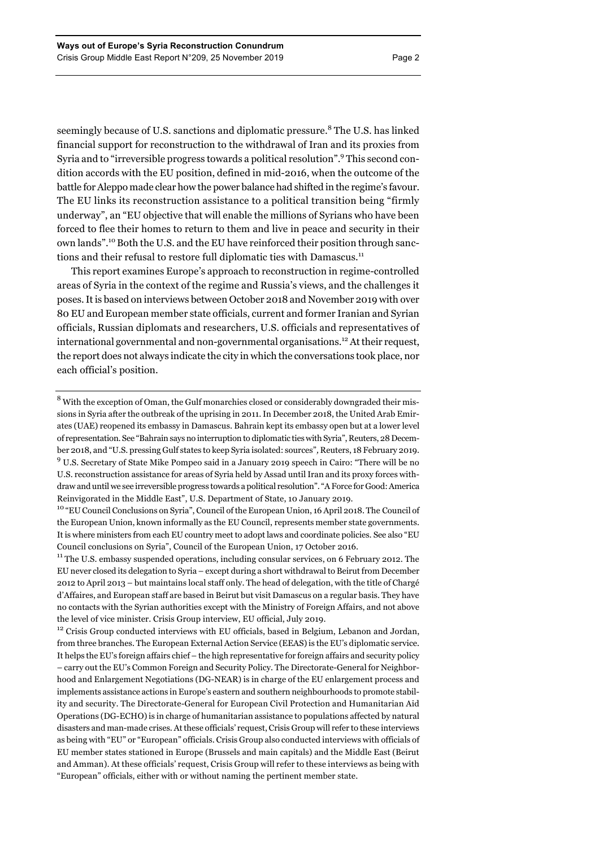seemingly because of U.S. sanctions and diplomatic pressure.<sup>8</sup> The U.S. has linked financial support for reconstruction to the withdrawal of Iran and its proxies from Syria and to "irreversible progress towards a political resolution".9 This second condition accords with the EU position, defined in mid-2016, when the outcome of the battle for Aleppo made clear how the power balance had shifted in the regime's favour. The EU links its reconstruction assistance to a political transition being "firmly underway", an "EU objective that will enable the millions of Syrians who have been forced to flee their homes to return to them and live in peace and security in their own lands".<sup>10</sup> Both the U.S. and the EU have reinforced their position through sanctions and their refusal to restore full diplomatic ties with Damascus.<sup>11</sup>

This report examines Europe's approach to reconstruction in regime-controlled areas of Syria in the context of the regime and Russia's views, and the challenges it poses. It is based on interviews between October 2018 and November 2019 with over 80 EU and European member state officials, current and former Iranian and Syrian officials, Russian diplomats and researchers, U.S. officials and representatives of international governmental and non-governmental organisations.<sup>12</sup> At their request, the report does not always indicate the city in which the conversations took place, nor each official's position.

<sup>12</sup> Crisis Group conducted interviews with EU officials, based in Belgium, Lebanon and Jordan, from three branches. The European External Action Service (EEAS) is the EU's diplomatic service. It helps the EU's foreign affairs chief – the high representative for foreign affairs and security policy – carry out the EU's Common Foreign and Security Policy. The Directorate-General for Neighborhood and Enlargement Negotiations (DG-NEAR) is in charge of the EU enlargement process and implements assistance actions in Europe's eastern and southern neighbourhoods to promote stability and security. The Directorate-General for European Civil Protection and Humanitarian Aid Operations (DG-ECHO) is in charge of humanitarian assistance to populations affected by natural disasters and man-made crises. At these officials' request, Crisis Group will refer to these interviews as being with "EU" or "European" officials. Crisis Group also conducted interviews with officials of EU member states stationed in Europe (Brussels and main capitals) and the Middle East (Beirut and Amman). At these officials' request, Crisis Group will refer to these interviews as being with "European" officials, either with or without naming the pertinent member state.

 $8$  With the exception of Oman, the Gulf monarchies closed or considerably downgraded their missions in Syria after the outbreak of the uprising in 2011. In December 2018, the United Arab Emirates (UAE) reopened its embassy in Damascus. Bahrain kept its embassy open but at a lower level of representation. See "Bahrain says no interruption to diplomatic ties with Syria", Reuters, 28 December 2018, and "U.S. pressing Gulf states to keep Syria isolated: sources"*,* Reuters, 18 February 2019. <sup>9</sup> U.S. Secretary of State Mike Pompeo said in a January 2019 speech in Cairo: "There will be no U.S. reconstruction assistance for areas of Syria held by Assad until Iran and its proxy forces withdraw and until we see irreversible progress towards a political resolution". "A Force for Good: America Reinvigorated in the Middle East", U.S. Department of State, 10 January 2019.

<sup>&</sup>lt;sup>10</sup> "EU Council Conclusions on Syria", Council of the European Union, 16 April 2018. The Council of the European Union, known informally as the EU Council, represents member state governments. It is where ministers from each EU country meet to adopt laws and coordinate policies. See also "EU Council conclusions on Syria", Council of the European Union, 17 October 2016.

<sup>&</sup>lt;sup>11</sup> The U.S. embassy suspended operations, including consular services, on 6 February 2012. The EU never closed its delegation to Syria – except during a short withdrawal to Beirut from December 2012 to April 2013 – but maintains local staff only. The head of delegation, with the title of Chargé d'Affaires, and European staff are based in Beirut but visit Damascus on a regular basis. They have no contacts with the Syrian authorities except with the Ministry of Foreign Affairs, and not above the level of vice minister. Crisis Group interview, EU official, July 2019.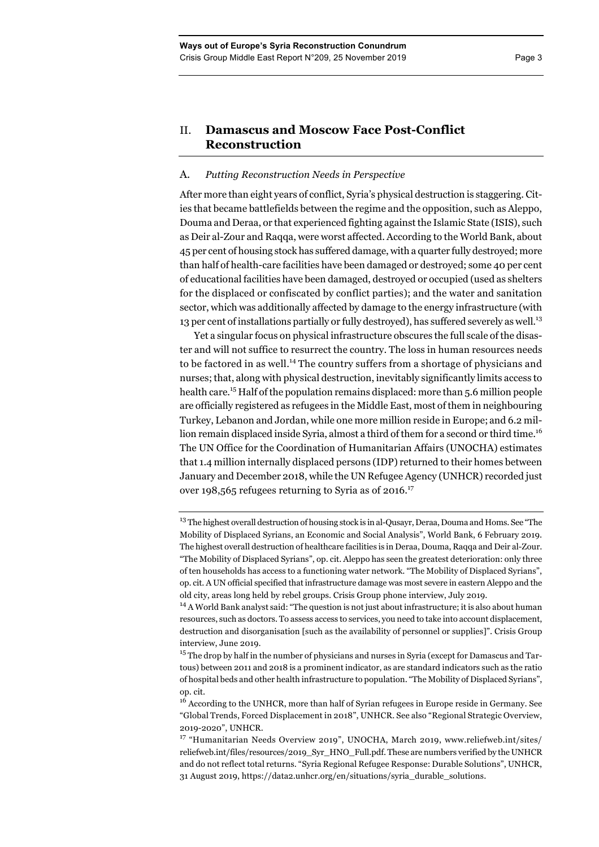## A. *Putting Reconstruction Needs in Perspective*

After more than eight years of conflict, Syria's physical destruction is staggering. Cities that became battlefields between the regime and the opposition, such as Aleppo, Douma and Deraa, or that experienced fighting against the Islamic State (ISIS), such as Deir al-Zour and Raqqa, were worst affected. According to the World Bank, about 45 per cent of housing stock has suffered damage, with a quarter fully destroyed; more than half of health-care facilities have been damaged or destroyed; some 40 per cent of educational facilities have been damaged, destroyed or occupied (used as shelters for the displaced or confiscated by conflict parties); and the water and sanitation sector, which was additionally affected by damage to the energy infrastructure (with 13 per cent of installations partially or fully destroyed), has suffered severely as well.<sup>13</sup>

Yet a singular focus on physical infrastructure obscures the full scale of the disaster and will not suffice to resurrect the country. The loss in human resources needs to be factored in as well.<sup>14</sup> The country suffers from a shortage of physicians and nurses; that, along with physical destruction, inevitably significantly limits access to health care.15 Half of the population remains displaced: more than 5.6 million people are officially registered as refugees in the Middle East, most of them in neighbouring Turkey, Lebanon and Jordan, while one more million reside in Europe; and 6.2 million remain displaced inside Syria, almost a third of them for a second or third time.<sup>16</sup> The UN Office for the Coordination of Humanitarian Affairs (UNOCHA) estimates that 1.4 million internally displaced persons (IDP) returned to their homes between January and December 2018, while the UN Refugee Agency (UNHCR) recorded just over 198,565 refugees returning to Syria as of 2016.<sup>17</sup>

<sup>&</sup>lt;sup>13</sup> The highest overall destruction of housing stock is in al-Qusayr, Deraa, Douma and Homs. See "The Mobility of Displaced Syrians, an Economic and Social Analysis", World Bank, 6 February 2019. The highest overall destruction of healthcare facilities is in Deraa, Douma, Raqqa and Deir al-Zour. "The Mobility of Displaced Syrians", op. cit. Aleppo has seen the greatest deterioration: only three of ten households has access to a functioning water network. "The Mobility of Displaced Syrians", op. cit. A UN official specified that infrastructure damage was most severe in eastern Aleppo and the old city, areas long held by rebel groups. Crisis Group phone interview, July 2019.

<sup>&</sup>lt;sup>14</sup> A World Bank analyst said: "The question is not just about infrastructure; it is also about human resources, such as doctors. To assess access to services, you need to take into account displacement, destruction and disorganisation [such as the availability of personnel or supplies]". Crisis Group interview, June 2019.

<sup>&</sup>lt;sup>15</sup> The drop by half in the number of physicians and nurses in Syria (except for Damascus and Tartous) between 2011 and 2018 is a prominent indicator, as are standard indicators such as the ratio of hospital beds and other health infrastructure to population. "The Mobility of Displaced Syrians", op. cit.

<sup>&</sup>lt;sup>16</sup> According to the UNHCR, more than half of Syrian refugees in Europe reside in Germany. See "Global Trends, Forced Displacement in 2018", UNHCR. See also "Regional Strategic Overview, 2019-2020", UNHCR.

<sup>&</sup>lt;sup>17</sup> "Humanitarian Needs Overview 2019", UNOCHA, March 2019, www.reliefweb.int/sites/ reliefweb.int/files/resources/2019\_Syr\_HNO\_Full.pdf. These are numbers verified by the UNHCR and do not reflect total returns. "Syria Regional Refugee Response: Durable Solutions", UNHCR, 31 August 2019, https://data2.unhcr.org/en/situations/syria\_durable\_solutions.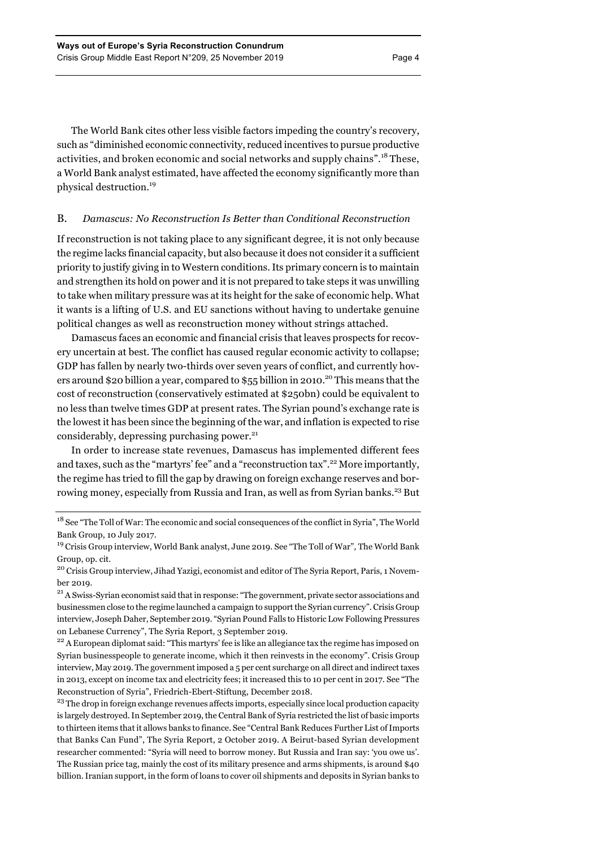The World Bank cites other less visible factors impeding the country's recovery, such as "diminished economic connectivity, reduced incentives to pursue productive activities, and broken economic and social networks and supply chains".<sup>18</sup> These, a World Bank analyst estimated, have affected the economy significantly more than physical destruction.<sup>19</sup>

## B. *Damascus: No Reconstruction Is Better than Conditional Reconstruction*

If reconstruction is not taking place to any significant degree, it is not only because the regime lacks financial capacity, but also because it does not consider it a sufficient priority to justify giving in to Western conditions. Its primary concern is to maintain and strengthen its hold on power and it is not prepared to take steps it was unwilling to take when military pressure was at its height for the sake of economic help. What it wants is a lifting of U.S. and EU sanctions without having to undertake genuine political changes as well as reconstruction money without strings attached.

Damascus faces an economic and financial crisis that leaves prospects for recovery uncertain at best. The conflict has caused regular economic activity to collapse; GDP has fallen by nearly two-thirds over seven years of conflict, and currently hovers around \$20 billion a year, compared to \$55 billion in 2010.<sup>20</sup> This means that the cost of reconstruction (conservatively estimated at \$250bn) could be equivalent to no less than twelve times GDP at present rates. The Syrian pound's exchange rate is the lowest it has been since the beginning of the war, and inflation is expected to rise considerably, depressing purchasing power.<sup>21</sup>

In order to increase state revenues, Damascus has implemented different fees and taxes, such as the "martyrs' fee" and a "reconstruction tax".<sup>22</sup> More importantly, the regime has tried to fill the gap by drawing on foreign exchange reserves and borrowing money, especially from Russia and Iran, as well as from Syrian banks.<sup>23</sup> But

<sup>23</sup> The drop in foreign exchange revenues affects imports, especially since local production capacity is largely destroyed. In September 2019, the Central Bank of Syria restricted the list of basic imports to thirteen items that it allows banks to finance. See "Central Bank Reduces Further List of Imports that Banks Can Fund", The Syria Report, 2 October 2019. A Beirut-based Syrian development researcher commented: "Syria will need to borrow money. But Russia and Iran say: 'you owe us'. The Russian price tag, mainly the cost of its military presence and arms shipments, is around \$40 billion. Iranian support, in the form of loans to cover oil shipments and deposits in Syrian banks to

<sup>&</sup>lt;sup>18</sup> See "The Toll of War: The economic and social consequences of the conflict in Syria", The World Bank Group, 10 July 2017.

<sup>19</sup> Crisis Group interview, World Bank analyst, June 2019. See "The Toll of War"*,* The World Bank Group, op. cit.

<sup>&</sup>lt;sup>20</sup> Crisis Group interview, Jihad Yazigi, economist and editor of The Syria Report, Paris, 1 November 2019.

<sup>&</sup>lt;sup>21</sup> A Swiss-Syrian economist said that in response: "The government, private sector associations and businessmen close to the regime launched a campaign to support the Syrian currency". Crisis Group interview, Joseph Daher, September 2019. "Syrian Pound Falls to Historic Low Following Pressures on Lebanese Currency", The Syria Report, 3 September 2019.<br><sup>22</sup> A European diplomat said: "This martyrs' fee is like an allegiance tax the regime has imposed on

Syrian businesspeople to generate income, which it then reinvests in the economy". Crisis Group interview, May 2019. The government imposed a 5 per cent surcharge on all direct and indirect taxes in 2013, except on income tax and electricity fees; it increased this to 10 per cent in 2017. See "The Reconstruction of Syria", Friedrich-Ebert-Stiftung, December 2018.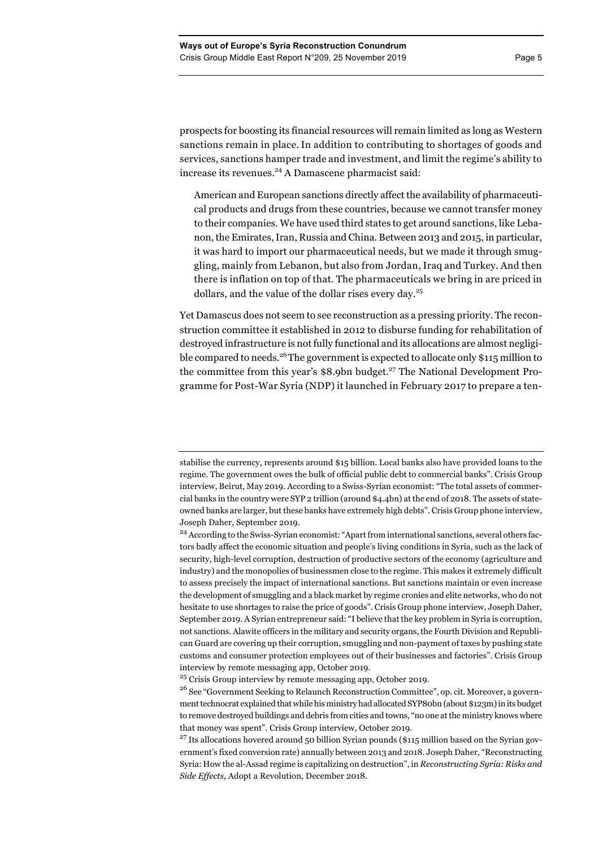prospects for boosting its financial resources will remain limited as long as Western sanctions remain in place. In addition to contributing to shortages of goods and services, sanctions hamper trade and investment, and limit the regime's ability to increase its revenues.<sup>24</sup> A Damascene pharmacist said:

American and European sanctions directly affect the availability of pharmaceutical products and drugs from these countries, because we cannot transfer money to their companies. We have used third states to get around sanctions, like Lebanon, the Emirates, Iran, Russia and China. Between 2013 and 2015, in particular, it was hard to import our pharmaceutical needs, but we made it through smuggling, mainly from Lebanon, but also from Jordan, Iraq and Turkey. And then there is inflation on top of that. The pharmaceuticals we bring in are priced in dollars, and the value of the dollar rises every day.<sup>25</sup>

Yet Damascus does not seem to see reconstruction as a pressing priority. The reconstruction committee it established in 2012 to disburse funding for rehabilitation of destroyed infrastructure is not fully functional and its allocations are almost negligible compared to needs.26The government is expected to allocate only \$115 million to the committee from this year's  $$8.9$ bn budget.<sup>27</sup> The National Development Programme for Post-War Syria (NDP) it launched in February 2017 to prepare a ten-

<sup>25</sup> Crisis Group interview by remote messaging app, October 2019.

stabilise the currency, represents around \$15 billion. Local banks also have provided loans to the regime. The government owes the bulk of official public debt to commercial banks". Crisis Group interview, Beirut, May 2019. According to a Swiss-Syrian economist: "The total assets of commercial banks in the country were SYP 2 trillion (around \$4.4bn) at the end of 2018. The assets of stateowned banks are larger, but these banks have extremely high debts". Crisis Group phone interview, Joseph Daher, September 2019.

<sup>&</sup>lt;sup>24</sup> According to the Swiss-Syrian economist: "Apart from international sanctions, several others factors badly affect the economic situation and people's living conditions in Syria, such as the lack of security, high-level corruption, destruction of productive sectors of the economy (agriculture and industry) and the monopolies of businessmen close to the regime. This makes it extremely difficult to assess precisely the impact of international sanctions. But sanctions maintain or even increase the development of smuggling and a black market by regime cronies and elite networks, who do not hesitate to use shortages to raise the price of goods". Crisis Group phone interview, Joseph Daher, September 2019. A Syrian entrepreneur said: "I believe that the key problem in Syria is corruption, not sanctions. Alawite officers in the military and security organs, the Fourth Division and Republican Guard are covering up their corruption, smuggling and non-payment of taxes by pushing state customs and consumer protection employees out of their businesses and factories". Crisis Group interview by remote messaging app, October 2019.

<sup>&</sup>lt;sup>26</sup> See "Government Seeking to Relaunch Reconstruction Committee", op. cit. Moreover, a government technocrat explained that while his ministry had allocated SYP80bn (about \$123m) in its budget to remove destroyed buildings and debris from cities and towns, "no one at the ministry knows where that money was spent". Crisis Group interview, October 2019.

<sup>&</sup>lt;sup>27</sup> Its allocations hovered around 50 billion Syrian pounds (\$115 million based on the Syrian government's fixed conversion rate) annually between 2013 and 2018. Joseph Daher, "Reconstructing Syria: How the al-Assad regime is capitalizing on destruction", in *Reconstructing Syria: Risks and Side Effects*, Adopt a Revolution, December 2018.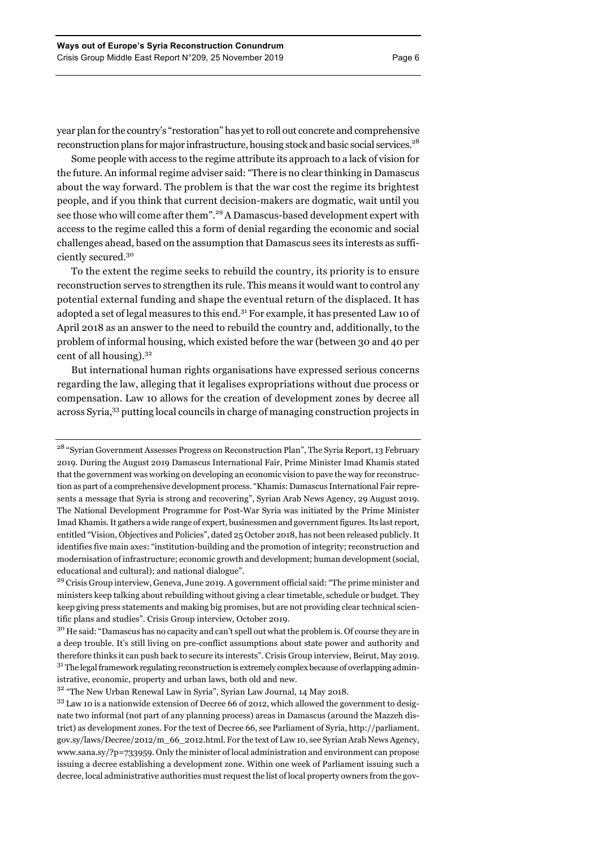year plan for the country's "restoration" has yet to roll out concrete and comprehensive reconstruction plans for major infrastructure, housing stock and basic social services.<sup>28</sup>

Some people with access to the regime attribute its approach to a lack of vision for the future. An informal regime adviser said: "There is no clear thinking in Damascus about the way forward. The problem is that the war cost the regime its brightest people, and if you think that current decision-makers are dogmatic, wait until you see those who will come after them".<sup>29</sup> A Damascus-based development expert with access to the regime called this a form of denial regarding the economic and social challenges ahead, based on the assumption that Damascus sees its interests as sufficiently secured.30

To the extent the regime seeks to rebuild the country, its priority is to ensure reconstruction serves to strengthen its rule. This means it would want to control any potential external funding and shape the eventual return of the displaced. It has adopted a set of legal measures to this end.31 For example, it has presented Law 10 of April 2018 as an answer to the need to rebuild the country and, additionally, to the problem of informal housing, which existed before the war (between 30 and 40 per cent of all housing).  $3^2$ 

But international human rights organisations have expressed serious concerns regarding the law, alleging that it legalises expropriations without due process or compensation. Law 10 allows for the creation of development zones by decree all across Syria, <sup>33</sup> putting local councils in charge of managing construction projects in

<sup>32</sup> "The New Urban Renewal Law in Syria", Syrian Law Journal, 14 May 2018.

<sup>&</sup>lt;sup>28</sup> "Syrian Government Assesses Progress on Reconstruction Plan", The Syria Report, 13 February 2019. During the August 2019 Damascus International Fair, Prime Minister Imad Khamis stated that the government was working on developing an economic vision to pave the way for reconstruction as part of a comprehensive development process. "Khamis: Damascus International Fair represents a message that Syria is strong and recovering", Syrian Arab News Agency, 29 August 2019. The National Development Programme for Post-War Syria was initiated by the Prime Minister Imad Khamis. It gathers a wide range of expert, businessmen and government figures. Its last report, entitled "Vision, Objectives and Policies", dated 25 October 2018, has not been released publicly. It identifies five main axes: "institution-building and the promotion of integrity; reconstruction and modernisation of infrastructure; economic growth and development; human development (social, educational and cultural); and national dialogue".

<sup>&</sup>lt;sup>29</sup> Crisis Group interview, Geneva, June 2019. A government official said: "The prime minister and ministers keep talking about rebuilding without giving a clear timetable, schedule or budget. They keep giving press statements and making big promises, but are not providing clear technical scientific plans and studies". Crisis Group interview, October 2019.

<sup>&</sup>lt;sup>30</sup> He said: "Damascus has no capacity and can't spell out what the problem is. Of course they are in a deep trouble. It's still living on pre-conflict assumptions about state power and authority and therefore thinks it can push back to secure its interests". Crisis Group interview, Beirut, May 2019.  $31$  The legal framework regulating reconstruction is extremely complex because of overlapping administrative, economic, property and urban laws, both old and new.

<sup>&</sup>lt;sup>33</sup> Law 10 is a nationwide extension of Decree 66 of 2012, which allowed the government to designate two informal (not part of any planning process) areas in Damascus (around the Mazzeh district) as development zones. For the text of Decree 66, see Parliament of Syria, http://parliament. gov.sy/laws/Decree/2012/m\_66\_2012.html. For the text of Law 10, see Syrian Arab News Agency, www.sana.sy/?p=733959. Only the minister of local administration and environment can propose issuing a decree establishing a development zone. Within one week of Parliament issuing such a decree, local administrative authorities must request the list of local property owners from the gov-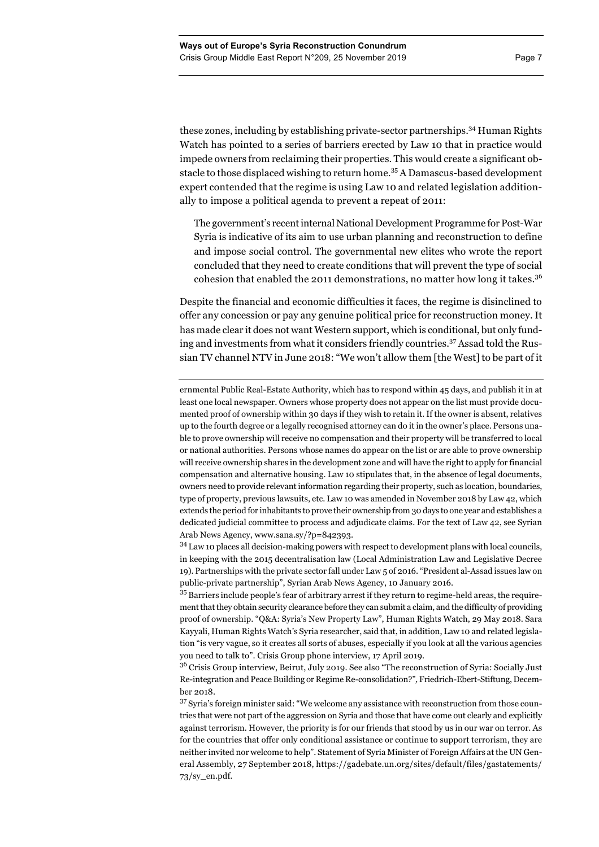these zones, including by establishing private-sector partnerships.34 Human Rights Watch has pointed to a series of barriers erected by Law 10 that in practice would impede owners from reclaiming their properties. This would create a significant obstacle to those displaced wishing to return home.<sup>35</sup> A Damascus-based development expert contended that the regime is using Law 10 and related legislation additionally to impose a political agenda to prevent a repeat of 2011:

The government's recent internal National Development Programme for Post-War Syria is indicative of its aim to use urban planning and reconstruction to define and impose social control. The governmental new elites who wrote the report concluded that they need to create conditions that will prevent the type of social cohesion that enabled the 2011 demonstrations, no matter how long it takes.<sup>36</sup>

Despite the financial and economic difficulties it faces, the regime is disinclined to offer any concession or pay any genuine political price for reconstruction money. It has made clear it does not want Western support, which is conditional, but only funding and investments from what it considers friendly countries.<sup>37</sup> Assad told the Russian TV channel NTV in June 2018: "We won't allow them [the West] to be part of it

ernmental Public Real-Estate Authority, which has to respond within 45 days, and publish it in at least one local newspaper. Owners whose property does not appear on the list must provide documented proof of ownership within 30 days if they wish to retain it. If the owner is absent, relatives up to the fourth degree or a legally recognised attorney can do it in the owner's place. Persons unable to prove ownership will receive no compensation and their property will be transferred to local or national authorities. Persons whose names do appear on the list or are able to prove ownership will receive ownership shares in the development zone and will have the right to apply for financial compensation and alternative housing. Law 10 stipulates that, in the absence of legal documents, owners need to provide relevant information regarding their property, such as location, boundaries, type of property, previous lawsuits, etc. Law 10 was amended in November 2018 by Law 42, which extends the period for inhabitants to prove their ownership from 30 days to one year and establishes a dedicated judicial committee to process and adjudicate claims. For the text of Law 42, see Syrian Arab News Agency, www.sana.sy/?p=842393.

<sup>34</sup> Law 10 places all decision-making powers with respect to development plans with local councils, in keeping with the 2015 decentralisation law (Local Administration Law and Legislative Decree 19). Partnerships with the private sector fall under Law 5 of 2016. "President al-Assad issues law on public-private partnership", Syrian Arab News Agency, 10 January 2016.

<sup>35</sup> Barriers include people's fear of arbitrary arrest if they return to regime-held areas, the requirement that they obtain security clearance before they can submit a claim, and the difficulty of providing proof of ownership. "Q&A: Syria's New Property Law", Human Rights Watch, 29 May 2018. Sara Kayyali, Human Rights Watch's Syria researcher, said that, in addition, Law 10 and related legislation "is very vague, so it creates all sorts of abuses, especially if you look at all the various agencies you need to talk to". Crisis Group phone interview, 17 April 2019.

<sup>36</sup> Crisis Group interview, Beirut, July 2019. See also "The reconstruction of Syria: Socially Just Re-integration and Peace Building or Regime Re-consolidation?"*,* Friedrich-Ebert-Stiftung, December 2018.

<sup>37</sup> Syria's foreign minister said: "We welcome any assistance with reconstruction from those countries that were not part of the aggression on Syria and those that have come out clearly and explicitly against terrorism. However, the priority is for our friends that stood by us in our war on terror. As for the countries that offer only conditional assistance or continue to support terrorism, they are neither invited nor welcome to help". Statement of Syria Minister of Foreign Affairs at the UN General Assembly, 27 September 2018, https://gadebate.un.org/sites/default/files/gastatements/ 73/sy\_en.pdf.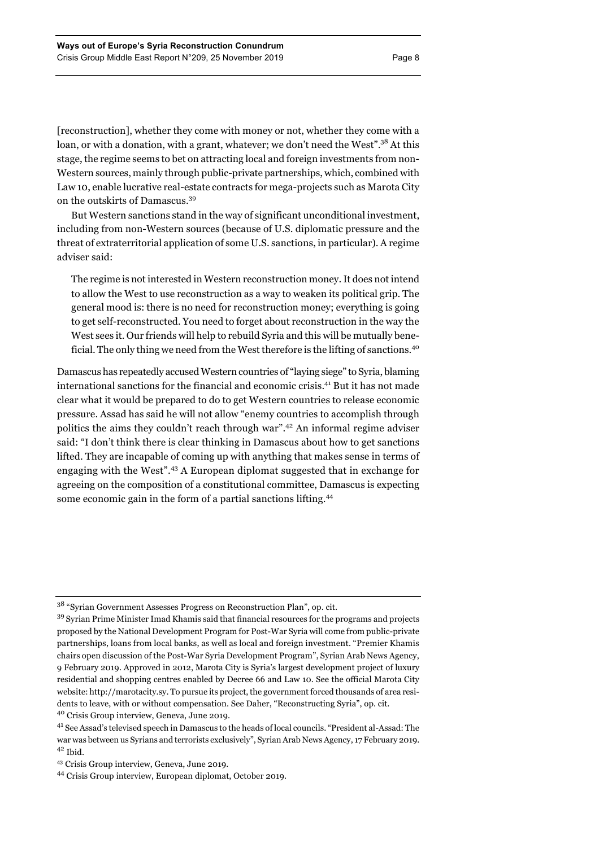[reconstruction], whether they come with money or not, whether they come with a loan, or with a donation, with a grant, whatever; we don't need the West".<sup>38</sup> At this stage, the regime seems to bet on attracting local and foreign investments from non-Western sources, mainly through public-private partnerships, which, combined with Law 10, enable lucrative real-estate contracts for mega-projects such as Marota City on the outskirts of Damascus.<sup>39</sup>

But Western sanctions stand in the way of significant unconditional investment, including from non-Western sources (because of U.S. diplomatic pressure and the threat of extraterritorial application of some U.S. sanctions, in particular). A regime adviser said:

The regime is not interested in Western reconstruction money. It does not intend to allow the West to use reconstruction as a way to weaken its political grip. The general mood is: there is no need for reconstruction money; everything is going to get self-reconstructed. You need to forget about reconstruction in the way the West sees it. Our friends will help to rebuild Syria and this will be mutually beneficial. The only thing we need from the West therefore is the lifting of sanctions.<sup>40</sup>

Damascus has repeatedly accused Western countries of "laying siege" to Syria, blaming international sanctions for the financial and economic crisis.41 But it has not made clear what it would be prepared to do to get Western countries to release economic pressure. Assad has said he will not allow "enemy countries to accomplish through politics the aims they couldn't reach through war".<sup>42</sup> An informal regime adviser said: "I don't think there is clear thinking in Damascus about how to get sanctions lifted. They are incapable of coming up with anything that makes sense in terms of engaging with the West".<sup>43</sup> A European diplomat suggested that in exchange for agreeing on the composition of a constitutional committee, Damascus is expecting some economic gain in the form of a partial sanctions lifting.<sup>44</sup>

<sup>38</sup> "Syrian Government Assesses Progress on Reconstruction Plan", op. cit.

<sup>39</sup> Syrian Prime Minister Imad Khamis said that financial resources for the programs and projects proposed by the National Development Program for Post-War Syria will come from public-private partnerships, loans from local banks, as well as local and foreign investment. "Premier Khamis chairs open discussion of the Post-War Syria Development Program", Syrian Arab News Agency, 9 February 2019. Approved in 2012, Marota City is Syria's largest development project of luxury residential and shopping centres enabled by Decree 66 and Law 10. See the official Marota City website: http://marotacity.sy. To pursue its project, the government forced thousands of area residents to leave, with or without compensation. See Daher, "Reconstructing Syria", op. cit.

<sup>40</sup> Crisis Group interview, Geneva, June 2019.

<sup>41</sup> See Assad's televised speech in Damascus to the heads of local councils. "President al-Assad: The war was between us Syrians and terrorists exclusively", Syrian Arab News Agency, 17 February 2019.  $42$  Ibid.

<sup>43</sup> Crisis Group interview, Geneva, June 2019.

<sup>44</sup> Crisis Group interview, European diplomat, October 2019.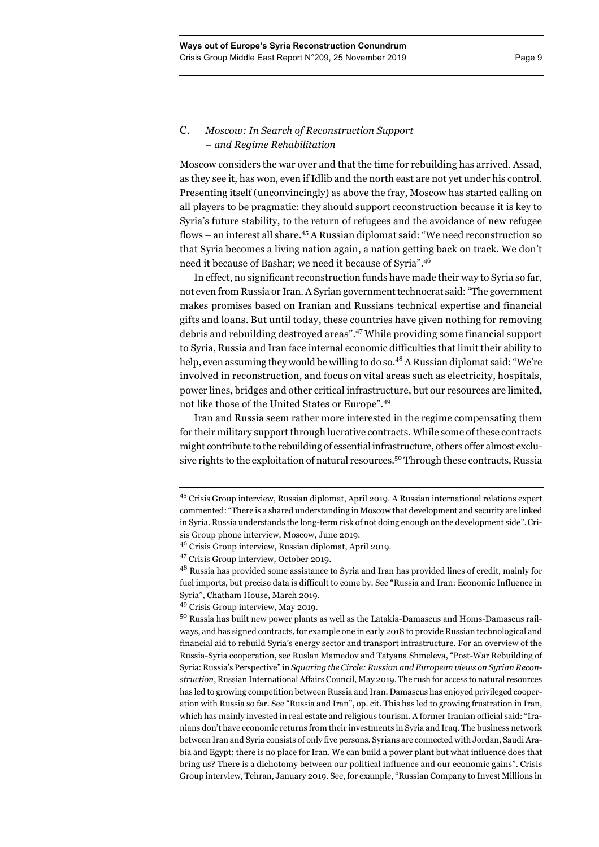# C. *Moscow: In Search of Reconstruction Support – and Regime Rehabilitation*

Moscow considers the war over and that the time for rebuilding has arrived. Assad, as they see it, has won, even if Idlib and the north east are not yet under his control. Presenting itself (unconvincingly) as above the fray, Moscow has started calling on all players to be pragmatic: they should support reconstruction because it is key to Syria's future stability, to the return of refugees and the avoidance of new refugee flows – an interest all share. <sup>45</sup> A Russian diplomat said: "We need reconstruction so that Syria becomes a living nation again, a nation getting back on track. We don't need it because of Bashar; we need it because of Syria".<sup>46</sup>

In effect, no significant reconstruction funds have made their way to Syria so far, not even from Russia or Iran. A Syrian government technocrat said: "The government makes promises based on Iranian and Russians technical expertise and financial gifts and loans. But until today, these countries have given nothing for removing debris and rebuilding destroyed areas".<sup>47</sup> While providing some financial support to Syria, Russia and Iran face internal economic difficulties that limit their ability to help, even assuming they would be willing to do so.<sup>48</sup> A Russian diplomat said: "We're involved in reconstruction, and focus on vital areas such as electricity, hospitals, power lines, bridges and other critical infrastructure, but our resources are limited, not like those of the United States or Europe".<sup>49</sup>

Iran and Russia seem rather more interested in the regime compensating them for their military support through lucrative contracts. While some of these contracts might contribute to the rebuilding of essential infrastructure, others offer almost exclusive rights to the exploitation of natural resources.<sup>50</sup> Through these contracts, Russia

<sup>45</sup> Crisis Group interview, Russian diplomat, April 2019. A Russian international relations expert commented: "There is a shared understanding in Moscow that development and security are linked in Syria. Russia understands the long-term risk of not doing enough on the development side".Crisis Group phone interview, Moscow, June 2019.

<sup>46</sup> Crisis Group interview, Russian diplomat, April 2019.

<sup>47</sup> Crisis Group interview, October 2019.

<sup>&</sup>lt;sup>48</sup> Russia has provided some assistance to Syria and Iran has provided lines of credit, mainly for fuel imports, but precise data is difficult to come by. See "Russia and Iran: Economic Influence in Syria", Chatham House, March 2019.

<sup>49</sup> Crisis Group interview, May 2019.

<sup>50</sup> Russia has built new power plants as well as the Latakia-Damascus and Homs-Damascus railways, and has signed contracts, for example one in early 2018 to provide Russian technological and financial aid to rebuild Syria's energy sector and transport infrastructure. For an overview of the Russia-Syria cooperation, see Ruslan Mamedov and Tatyana Shmeleva, "Post-War Rebuilding of Syria: Russia's Perspective" in *Squaring the Circle: Russian and European views on Syrian Reconstruction*, Russian International Affairs Council, May 2019. The rush for access to natural resources has led to growing competition between Russia and Iran. Damascus has enjoyed privileged cooperation with Russia so far. See "Russia and Iran", op. cit. This has led to growing frustration in Iran, which has mainly invested in real estate and religious tourism. A former Iranian official said: "Iranians don't have economic returns from their investments in Syria and Iraq. The business network between Iran and Syria consists of only five persons. Syrians are connected with Jordan, Saudi Arabia and Egypt; there is no place for Iran. We can build a power plant but what influence does that bring us? There is a dichotomy between our political influence and our economic gains". Crisis Group interview, Tehran, January 2019. See, for example, "Russian Company to Invest Millions in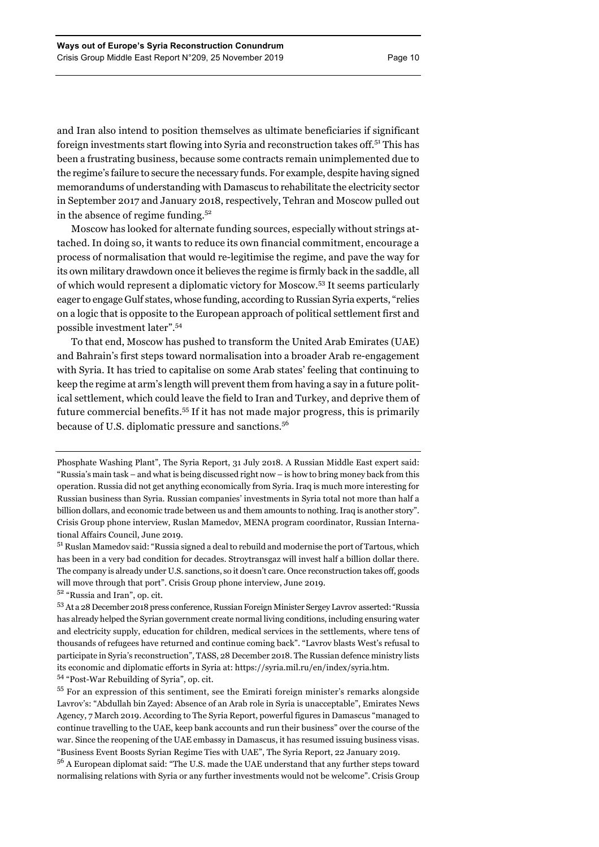and Iran also intend to position themselves as ultimate beneficiaries if significant foreign investments start flowing into Syria and reconstruction takes off.<sup>51</sup> This has been a frustrating business, because some contracts remain unimplemented due to the regime's failure to secure the necessary funds. For example, despite having signed memorandums of understanding with Damascus to rehabilitate the electricity sector in September 2017 and January 2018, respectively, Tehran and Moscow pulled out in the absence of regime funding. $52$ 

Moscow has looked for alternate funding sources, especially without strings attached. In doing so, it wants to reduce its own financial commitment, encourage a process of normalisation that would re-legitimise the regime, and pave the way for its own military drawdown once it believes the regime is firmly back in the saddle, all of which would represent a diplomatic victory for Moscow. <sup>53</sup> It seems particularly eager to engage Gulf states, whose funding, according to Russian Syria experts, "relies on a logic that is opposite to the European approach of political settlement first and possible investment later".<sup>54</sup>

To that end, Moscow has pushed to transform the United Arab Emirates (UAE) and Bahrain's first steps toward normalisation into a broader Arab re-engagement with Syria. It has tried to capitalise on some Arab states' feeling that continuing to keep the regime at arm's length will prevent them from having a say in a future political settlement, which could leave the field to Iran and Turkey, and deprive them of future commercial benefits.<sup>55</sup> If it has not made major progress, this is primarily because of U.S. diplomatic pressure and sanctions.<sup>56</sup>

Phosphate Washing Plant", The Syria Report, 31 July 2018. A Russian Middle East expert said: "Russia's main task – and what is being discussed right now – is how to bring money back from this operation. Russia did not get anything economically from Syria. Iraq is much more interesting for Russian business than Syria. Russian companies' investments in Syria total not more than half a billion dollars, and economic trade between us and them amounts to nothing. Iraq is another story". Crisis Group phone interview, Ruslan Mamedov, MENA program coordinator, Russian International Affairs Council, June 2019.

<sup>51</sup> Ruslan Mamedov said: "Russia signed a deal to rebuild and modernise the port of Tartous, which has been in a very bad condition for decades. Stroytransgaz will invest half a billion dollar there. The company is already under U.S. sanctions, so it doesn't care. Once reconstruction takes off, goods will move through that port". Crisis Group phone interview, June 2019.

<sup>52</sup> "Russia and Iran", op. cit.

<sup>53</sup> At a 28 December 2018 press conference, Russian Foreign Minister Sergey Lavrov asserted: "Russia has already helped the Syrian government create normal living conditions, including ensuring water and electricity supply, education for children, medical services in the settlements, where tens of thousands of refugees have returned and continue coming back". "Lavrov blasts West's refusal to participate in Syria's reconstruction"*,* TASS, 28 December 2018. The Russian defence ministry lists its economic and diplomatic efforts in Syria at: https://syria.mil.ru/en/index/syria.htm. <sup>54</sup> "Post-War Rebuilding of Syria", op. cit.

<sup>55</sup> For an expression of this sentiment, see the Emirati foreign minister's remarks alongside Lavrov's: "Abdullah bin Zayed: Absence of an Arab role in Syria is unacceptable", Emirates News Agency, 7 March 2019. According to The Syria Report, powerful figures in Damascus "managed to continue travelling to the UAE, keep bank accounts and run their business" over the course of the war. Since the reopening of the UAE embassy in Damascus, it has resumed issuing business visas. "Business Event Boosts Syrian Regime Ties with UAE", The Syria Report, 22 January 2019.

<sup>&</sup>lt;sup>56</sup> A European diplomat said: "The U.S. made the UAE understand that any further steps toward normalising relations with Syria or any further investments would not be welcome". Crisis Group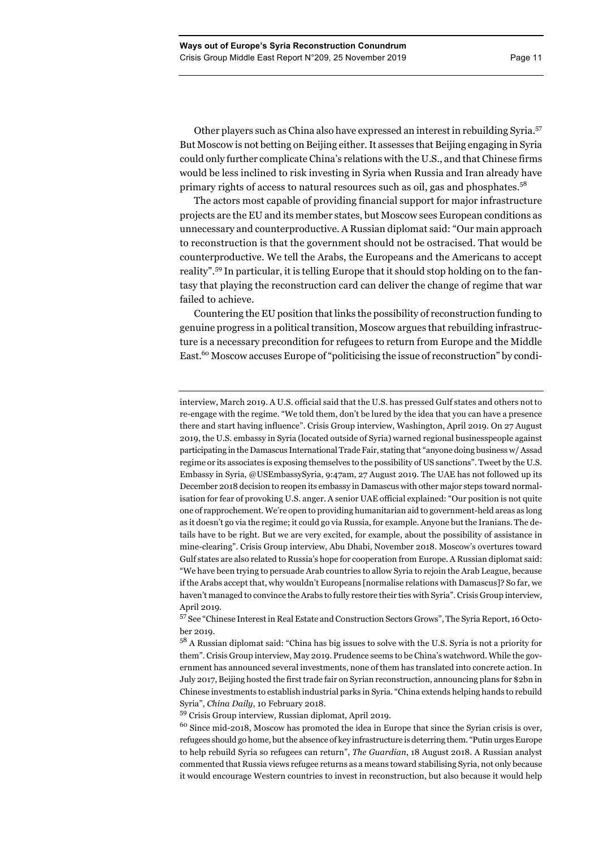Other players such as China also have expressed an interest in rebuilding Syria.<sup>57</sup> But Moscow is not betting on Beijing either. It assesses that Beijing engaging in Syria could only further complicate China's relations with the U.S., and that Chinese firms would be less inclined to risk investing in Syria when Russia and Iran already have primary rights of access to natural resources such as oil, gas and phosphates.<sup>58</sup>

The actors most capable of providing financial support for major infrastructure projects are the EU and its member states, but Moscow sees European conditions as unnecessary and counterproductive. A Russian diplomat said: "Our main approach to reconstruction is that the government should not be ostracised. That would be counterproductive. We tell the Arabs, the Europeans and the Americans to accept reality".<sup>59</sup> In particular, it is telling Europe that it should stop holding on to the fantasy that playing the reconstruction card can deliver the change of regime that war failed to achieve.

Countering the EU position that links the possibility of reconstruction funding to genuine progress in a political transition, Moscow argues that rebuilding infrastructure is a necessary precondition for refugees to return from Europe and the Middle East.<sup>60</sup> Moscow accuses Europe of "politicising the issue of reconstruction" by condi-

<sup>57</sup> See "Chinese Interest in Real Estate and Construction Sectors Grows", The Syria Report, 16 October 2019.

<sup>58</sup> A Russian diplomat said: "China has big issues to solve with the U.S. Syria is not a priority for them". Crisis Group interview, May 2019. Prudence seems to be China's watchword. While the government has announced several investments, none of them has translated into concrete action. In July 2017, Beijing hosted the first trade fair on Syrian reconstruction, announcing plans for \$2bn in Chinese investments to establish industrial parks in Syria. "China extends helping hands to rebuild Syria", *China Daily*, 10 February 2018.

<sup>59</sup> Crisis Group interview, Russian diplomat, April 2019.

<sup>60</sup> Since mid-2018, Moscow has promoted the idea in Europe that since the Syrian crisis is over, refugees should go home, but the absence of key infrastructure is deterring them. "Putin urges Europe to help rebuild Syria so refugees can return", *The Guardian*, 18 August 2018. A Russian analyst commented that Russia views refugee returns as a means toward stabilising Syria, not only because it would encourage Western countries to invest in reconstruction, but also because it would help

interview, March 2019. A U.S. official said that the U.S. has pressed Gulf states and others notto re-engage with the regime. "We told them, don't be lured by the idea that you can have a presence there and start having influence". Crisis Group interview, Washington, April 2019. On 27 August 2019, the U.S. embassy in Syria (located outside of Syria) warned regional businesspeople against participating in the Damascus International Trade Fair, stating that "anyone doing business w/ Assad regime or its associates is exposing themselves to the possibility of US sanctions". Tweet by the U.S. Embassy in Syria, @USEmbassySyria, 9:47am, 27 August 2019. The UAE has not followed up its December 2018 decision to reopen its embassy in Damascus with other major steps toward normalisation for fear of provoking U.S. anger. A senior UAE official explained: "Our position is not quite one of rapprochement. We're open to providing humanitarian aid to government-held areas as long as it doesn't go via the regime; it could go via Russia, for example. Anyone but the Iranians. The details have to be right. But we are very excited, for example, about the possibility of assistance in mine-clearing". Crisis Group interview, Abu Dhabi, November 2018. Moscow's overtures toward Gulf states are also related to Russia's hope for cooperation from Europe. A Russian diplomat said: "We have been trying to persuade Arab countries to allow Syria to rejoin the Arab League, because if the Arabs accept that, why wouldn't Europeans [normalise relations with Damascus]? So far, we haven't managed to convince the Arabs to fully restore their ties with Syria". Crisis Group interview, April 2019.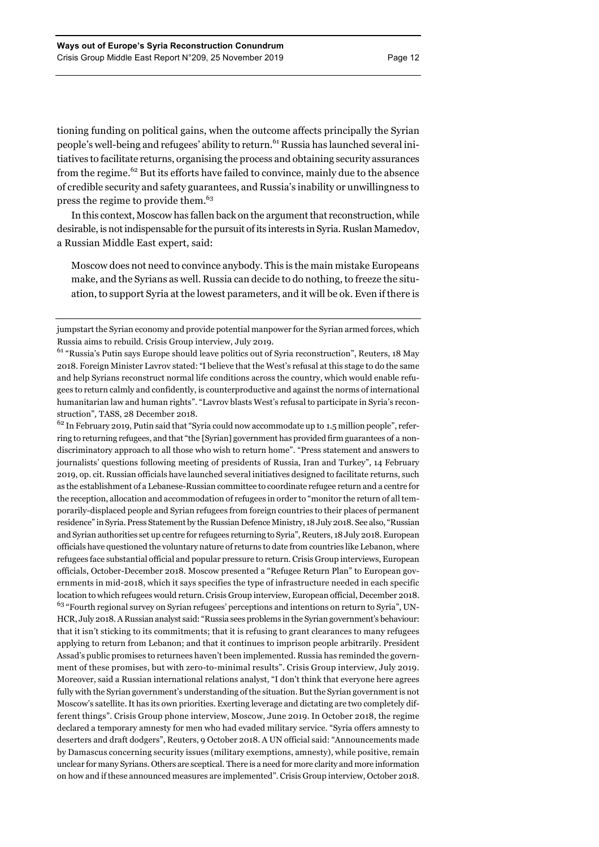tioning funding on political gains, when the outcome affects principally the Syrian people's well-being and refugees' ability to return.<sup>61</sup> Russia has launched several initiatives to facilitate returns, organising the process and obtaining security assurances from the regime.<sup>62</sup> But its efforts have failed to convince, mainly due to the absence of credible security and safety guarantees, and Russia's inability or unwillingness to press the regime to provide them.<sup>63</sup>

In this context, Moscow has fallen back on the argument that reconstruction, while desirable, is not indispensable for the pursuit of its interests in Syria. Ruslan Mamedov, a Russian Middle East expert, said:

Moscow does not need to convince anybody. This is the main mistake Europeans make, and the Syrians as well. Russia can decide to do nothing, to freeze the situation, to support Syria at the lowest parameters, and it will be ok. Even if there is

jumpstart the Syrian economy and provide potential manpower for the Syrian armed forces, which Russia aims to rebuild. Crisis Group interview, July 2019.

<sup>61</sup> "Russia's Putin says Europe should leave politics out of Syria reconstruction", Reuters, 18 May 2018. Foreign Minister Lavrov stated: "I believe that the West's refusal at this stage to do the same and help Syrians reconstruct normal life conditions across the country, which would enable refugees to return calmly and confidently, is counterproductive and against the norms of international humanitarian law and human rights". "Lavrov blasts West's refusal to participate in Syria's reconstruction"*,* TASS, 28 December 2018.

 $62$  In February 2019, Putin said that "Syria could now accommodate up to 1.5 million people", referring to returning refugees, and that "the [Syrian] government has provided firm guarantees of a nondiscriminatory approach to all those who wish to return home". "Press statement and answers to journalists' questions following meeting of presidents of Russia, Iran and Turkey", 14 February 2019, op. cit. Russian officials have launched several initiatives designed to facilitate returns, such as the establishment of a Lebanese-Russian committee to coordinate refugee return and a centre for the reception, allocation and accommodation of refugees in order to "monitor the return of all temporarily-displaced people and Syrian refugees from foreign countries to their places of permanent residence" in Syria. Press Statement by the Russian Defence Ministry, 18 July 2018. See also, "Russian and Syrian authorities set up centre for refugees returning to Syria", Reuters, 18 July 2018. European officials have questioned the voluntary nature of returns to date from countries like Lebanon, where refugees face substantial official and popular pressure to return. Crisis Group interviews, European officials, October-December 2018. Moscow presented a "Refugee Return Plan" to European governments in mid-2018, which it says specifies the type of infrastructure needed in each specific location to which refugees would return. Crisis Group interview, European official, December 2018. <sup>63</sup> "Fourth regional survey on Syrian refugees' perceptions and intentions on return to Syria", UN-HCR, July 2018.A Russian analyst said: "Russia sees problems in the Syrian government's behaviour: that it isn't sticking to its commitments; that it is refusing to grant clearances to many refugees applying to return from Lebanon; and that it continues to imprison people arbitrarily. President Assad's public promises to returnees haven't been implemented. Russia has reminded the government of these promises, but with zero-to-minimal results". Crisis Group interview, July 2019. Moreover, said a Russian international relations analyst, "I don't think that everyone here agrees fully with the Syrian government's understanding of the situation. But the Syrian government is not Moscow's satellite. It has its own priorities. Exerting leverage and dictating are two completely different things". Crisis Group phone interview, Moscow, June 2019. In October 2018, the regime declared a temporary amnesty for men who had evaded military service. "Syria offers amnesty to deserters and draft dodgers", Reuters, 9 October 2018. A UN official said: "Announcements made by Damascus concerning security issues (military exemptions, amnesty), while positive, remain unclear for many Syrians. Others are sceptical. There is a need for more clarity and more information on how and if these announced measures are implemented". Crisis Group interview, October 2018.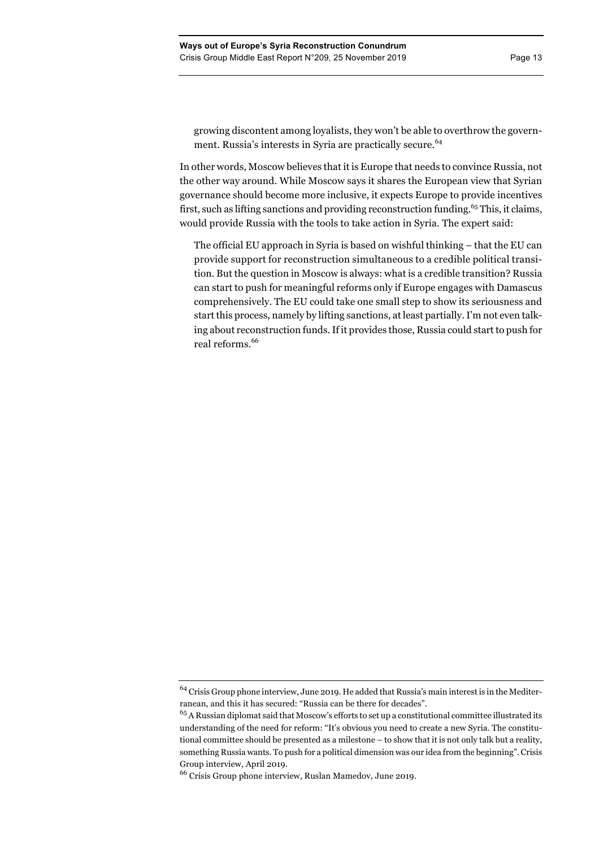growing discontent among loyalists, they won't be able to overthrow the government. Russia's interests in Syria are practically secure.<sup>64</sup>

In other words, Moscow believes that it is Europe that needs to convince Russia, not the other way around. While Moscow says it shares the European view that Syrian governance should become more inclusive, it expects Europe to provide incentives first, such as lifting sanctions and providing reconstruction funding.<sup>65</sup> This, it claims, would provide Russia with the tools to take action in Syria. The expert said:

The official EU approach in Syria is based on wishful thinking – that the EU can provide support for reconstruction simultaneous to a credible political transition. But the question in Moscow is always: what is a credible transition? Russia can start to push for meaningful reforms only if Europe engages with Damascus comprehensively. The EU could take one small step to show its seriousness and start this process, namely by lifting sanctions, at least partially. I'm not even talking about reconstruction funds. If it provides those, Russia could start to push for real reforms.<sup>66</sup>

<sup>64</sup> Crisis Group phone interview, June 2019. He added that Russia's main interest is in the Mediterranean, and this it has secured: "Russia can be there for decades".

 $^{65}\rm{A}$  Russian diplomat said that Moscow's efforts to set up a constitutional committee illustrated its understanding of the need for reform: "It's obvious you need to create a new Syria. The constitutional committee should be presented as a milestone – to show that it is not only talk but a reality, something Russia wants. To push for a political dimension was our idea from the beginning". Crisis Group interview, April 2019.

<sup>66</sup> Crisis Group phone interview, Ruslan Mamedov, June 2019.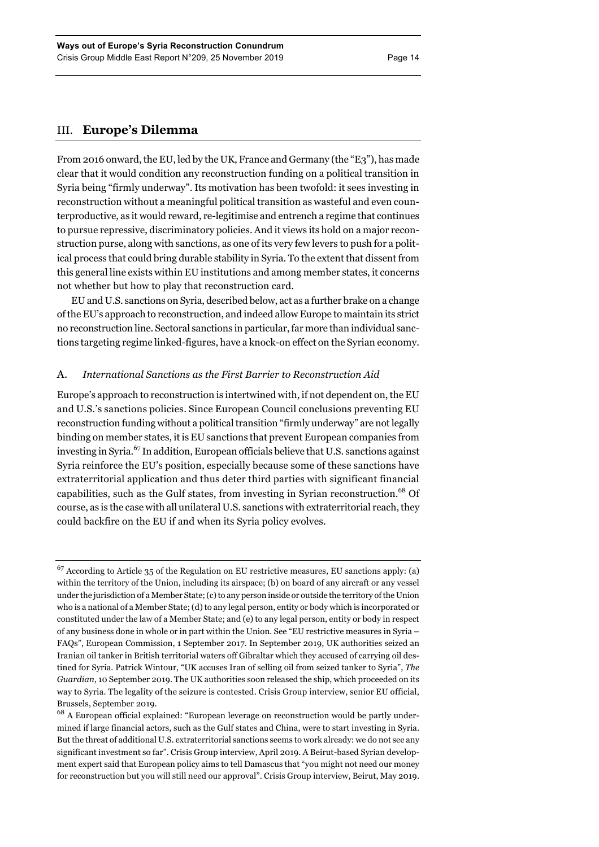# III. **Europe's Dilemma**

From 2016 onward, the EU, led by the UK, France and Germany (the "E3"), has made clear that it would condition any reconstruction funding on a political transition in Syria being "firmly underway". Its motivation has been twofold: it sees investing in reconstruction without a meaningful political transition as wasteful and even counterproductive, as it would reward, re-legitimise and entrench a regime that continues to pursue repressive, discriminatory policies. And it views its hold on a major reconstruction purse, along with sanctions, as one of its very few levers to push for a political process that could bring durable stability in Syria. To the extent that dissent from this general line exists within EU institutions and among member states, it concerns not whether but how to play that reconstruction card.

EU and U.S. sanctions on Syria, described below, act as a further brake on a change of the EU's approach to reconstruction, and indeed allow Europe to maintain its strict no reconstruction line. Sectoral sanctions in particular, far more than individual sanctions targeting regime linked-figures, have a knock-on effect on the Syrian economy.

## A. *International Sanctions as the First Barrier to Reconstruction Aid*

Europe's approach to reconstruction is intertwined with, if not dependent on, the EU and U.S.'s sanctions policies. Since European Council conclusions preventing EU reconstruction funding without a political transition "firmly underway" are not legally binding on member states, it is EU sanctions that prevent European companies from investing in Syria.67 In addition, European officials believe that U.S. sanctions against Syria reinforce the EU's position, especially because some of these sanctions have extraterritorial application and thus deter third parties with significant financial capabilities, such as the Gulf states, from investing in Syrian reconstruction.<sup>68</sup> Of course, as is the case with all unilateral U.S. sanctions with extraterritorial reach, they could backfire on the EU if and when its Syria policy evolves.

 $67$  According to Article 35 of the Regulation on EU restrictive measures, EU sanctions apply: (a) within the territory of the Union, including its airspace; (b) on board of any aircraft or any vessel under the jurisdiction of a Member State; (c) to any person inside or outside the territory of the Union who is a national of a Member State; (d) to any legal person, entity or body which is incorporated or constituted under the law of a Member State; and (e) to any legal person, entity or body in respect of any business done in whole or in part within the Union. See "EU restrictive measures in Syria – FAQs", European Commission, 1 September 2017. In September 2019, UK authorities seized an Iranian oil tanker in British territorial waters off Gibraltar which they accused of carrying oil destined for Syria. Patrick Wintour, "UK accuses Iran of selling oil from seized tanker to Syria", *The Guardian*, 10 September 2019. The UK authorities soon released the ship, which proceeded on its way to Syria. The legality of the seizure is contested. Crisis Group interview, senior EU official, Brussels, September 2019.

 $^{68}$  A European official explained: "European leverage on reconstruction would be partly undermined if large financial actors, such as the Gulf states and China, were to start investing in Syria. But the threat of additional U.S. extraterritorial sanctions seems to work already: we do not see any significant investment so far". Crisis Group interview, April 2019. A Beirut-based Syrian development expert said that European policy aims to tell Damascus that "you might not need our money for reconstruction but you will still need our approval". Crisis Group interview, Beirut, May 2019.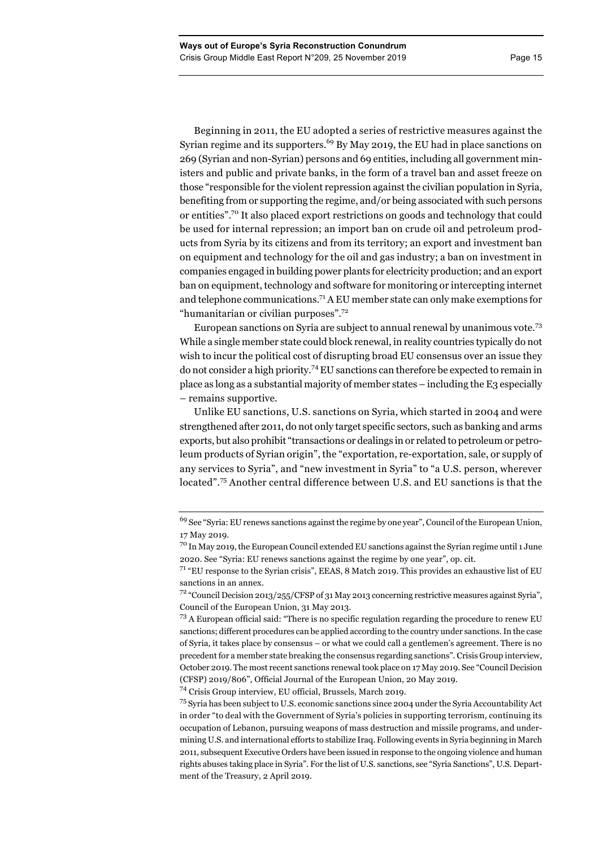"humanitarian or civilian purposes".72

Beginning in 2011, the EU adopted a series of restrictive measures against the Syrian regime and its supporters.<sup>69</sup> By May 2019, the EU had in place sanctions on 269 (Syrian and non-Syrian) persons and 69 entities, including all government ministers and public and private banks, in the form of a travel ban and asset freeze on those "responsible for the violent repression against the civilian population in Syria, benefiting from or supporting the regime, and/or being associated with such persons or entities".70 It also placed export restrictions on goods and technology that could be used for internal repression; an import ban on crude oil and petroleum products from Syria by its citizens and from its territory; an export and investment ban on equipment and technology for the oil and gas industry; a ban on investment in companies engaged in building power plants for electricity production; and an export ban on equipment, technology and software for monitoring or intercepting internet and telephone communications.71 A EU member state can only make exemptions for

European sanctions on Syria are subject to annual renewal by unanimous vote.<sup>73</sup> While a single member state could block renewal, in reality countries typically do not wish to incur the political cost of disrupting broad EU consensus over an issue they do not consider a high priority.74EU sanctions can therefore be expected to remain in place as long as a substantial majority of member states – including the E3 especially – remains supportive.

Unlike EU sanctions, U.S. sanctions on Syria, which started in 2004 and were strengthened after 2011, do not only target specific sectors, such as banking and arms exports, but also prohibit "transactions or dealings in or related to petroleum or petroleum products of Syrian origin", the "exportation, re-exportation, sale, or supply of any services to Syria", and "new investment in Syria" to "a U.S. person, wherever located".<sup>75</sup> Another central difference between U.S. and EU sanctions is that the

<sup>74</sup> Crisis Group interview, EU official, Brussels, March 2019.

<sup>&</sup>lt;sup>69</sup> See "Syria: EU renews sanctions against the regime by one year", Council of the European Union, 17 May 2019.

<sup>&</sup>lt;sup>70</sup> In May 2019, the European Council extended EU sanctions against the Syrian regime until 1 June 2020. See "Syria: EU renews sanctions against the regime by one year", op. cit.

<sup>71</sup> "EU response to the Syrian crisis", EEAS, 8 Match 2019. This provides an exhaustive list of EU sanctions in an annex.

<sup>72</sup> "Council Decision 2013/255/CFSP of 31 May 2013 concerning restrictive measures against Syria", Council of the European Union, 31 May 2013.

<sup>73</sup> A European official said: "There is no specific regulation regarding the procedure to renew EU sanctions; different procedures can be applied according to the country under sanctions. In the case of Syria, it takes place by consensus – or what we could call a gentlemen's agreement. There is no precedent for a member state breaking the consensus regarding sanctions". Crisis Group interview, October 2019. The most recent sanctions renewal took place on 17 May 2019. See "Council Decision (CFSP) 2019/806", Official Journal of the European Union, 20 May 2019.

<sup>&</sup>lt;sup>75</sup> Syria has been subject to U.S. economic sanctions since 2004 under the Syria Accountability Act in order "to deal with the Government of Syria's policies in supporting terrorism, continuing its occupation of Lebanon, pursuing weapons of mass destruction and missile programs, and undermining U.S. and international efforts to stabilize Iraq. Following events in Syria beginning in March 2011, subsequent Executive Orders have been issued in response to the ongoing violence and human rights abuses taking place in Syria". For the list of U.S. sanctions, see "Syria Sanctions", U.S. Department of the Treasury, 2 April 2019.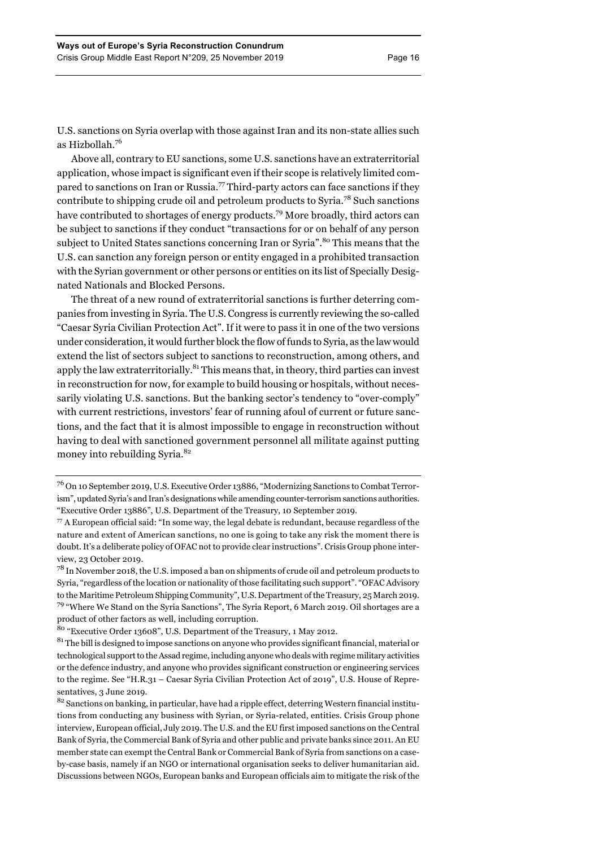U.S. sanctions on Syria overlap with those against Iran and its non-state allies such as Hizbollah.<sup>76</sup>

Above all, contrary to EU sanctions, some U.S. sanctions have an extraterritorial application, whose impact is significant even if their scope is relatively limited compared to sanctions on Iran or Russia.<sup>77</sup> Third-party actors can face sanctions if they contribute to shipping crude oil and petroleum products to Syria.<sup>78</sup> Such sanctions have contributed to shortages of energy products.<sup>79</sup> More broadly, third actors can be subject to sanctions if they conduct "transactions for or on behalf of any person subject to United States sanctions concerning Iran or Syria".<sup>80</sup> This means that the U.S. can sanction any foreign person or entity engaged in a prohibited transaction with the Syrian government or other persons or entities on its list of Specially Designated Nationals and Blocked Persons.

The threat of a new round of extraterritorial sanctions is further deterring companies from investing in Syria. The U.S. Congress is currently reviewing the so-called "Caesar Syria Civilian Protection Act". If it were to pass it in one of the two versions under consideration, it would further block the flow of funds to Syria, as the law would extend the list of sectors subject to sanctions to reconstruction, among others, and apply the law extraterritorially.<sup>81</sup> This means that, in theory, third parties can invest in reconstruction for now, for example to build housing or hospitals, without necessarily violating U.S. sanctions. But the banking sector's tendency to "over-comply" with current restrictions, investors' fear of running afoul of current or future sanctions, and the fact that it is almost impossible to engage in reconstruction without having to deal with sanctioned government personnel all militate against putting money into rebuilding Syria.<sup>82</sup>

<sup>76</sup> On 10 September 2019, U.S. Executive Order 13886, "Modernizing Sanctions to Combat Terrorism", updated Syria's and Iran's designations while amending counter-terrorism sanctions authorities. "Executive Order 13886", U.S. Department of the Treasury, 10 September 2019.

 $\%$  A European official said: "In some way, the legal debate is redundant, because regardless of the nature and extent of American sanctions, no one is going to take any risk the moment there is doubt. It's a deliberate policy of OFAC not to provide clear instructions". Crisis Group phone interview, 23 October 2019.

 $^{78}$  In November 2018, the U.S. imposed a ban on shipments of crude oil and petroleum products to Syria, "regardless of the location or nationality of those facilitating such support". "OFAC Advisory to the Maritime Petroleum Shipping Community", U.S. Department of the Treasury, 25 March 2019. 79 "Where We Stand on the Syria Sanctions", The Syria Report, 6 March 2019. Oil shortages are a product of other factors as well, including corruption.

<sup>80</sup> "Executive Order 13608", U.S. Department of the Treasury, 1 May 2012.

<sup>&</sup>lt;sup>81</sup> The bill is designed to impose sanctions on anyone who provides significant financial, material or technological support to the Assad regime, including anyone who deals with regime military activities or the defence industry, and anyone who provides significant construction or engineering services to the regime. See "H.R.31 – Caesar Syria Civilian Protection Act of 2019", U.S. House of Representatives, 3 June 2019.

<sup>&</sup>lt;sup>82</sup> Sanctions on banking, in particular, have had a ripple effect, deterring Western financial institutions from conducting any business with Syrian, or Syria-related, entities. Crisis Group phone interview, European official, July 2019. The U.S. and the EU first imposed sanctions on the Central Bank of Syria, the Commercial Bank of Syria and other public and private banks since 2011. An EU member state can exempt the Central Bank or Commercial Bank of Syria from sanctions on a caseby-case basis, namely if an NGO or international organisation seeks to deliver humanitarian aid. Discussions between NGOs, European banks and European officials aim to mitigate the risk of the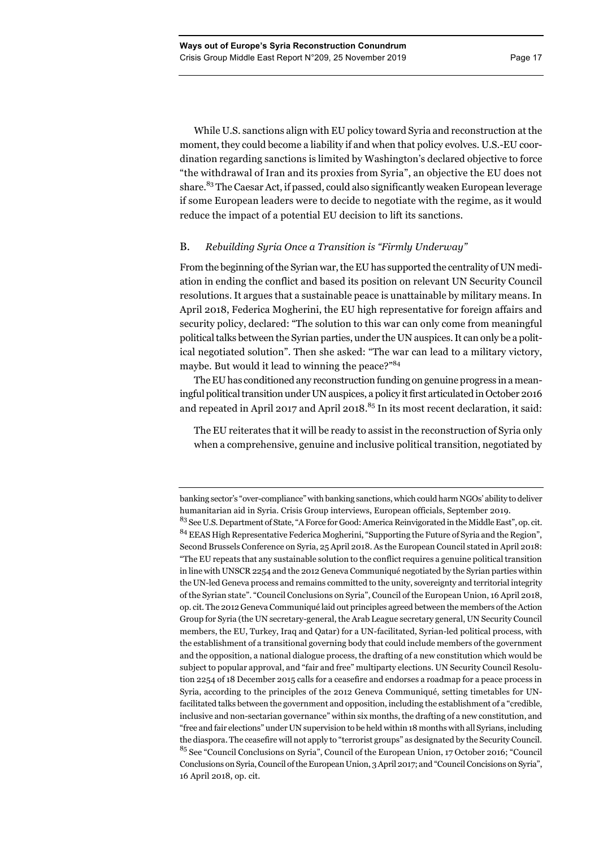While U.S. sanctions align with EU policy toward Syria and reconstruction at the moment, they could become a liability if and when that policy evolves. U.S.-EU coordination regarding sanctions is limited by Washington's declared objective to force "the withdrawal of Iran and its proxies from Syria", an objective the EU does not share.<sup>83</sup> The Caesar Act, if passed, could also significantly weaken European leverage if some European leaders were to decide to negotiate with the regime, as it would reduce the impact of a potential EU decision to lift its sanctions.

# B. *Rebuilding Syria Once a Transition is "Firmly Underway"*

From the beginning of the Syrian war, the EU has supported the centrality of UN mediation in ending the conflict and based its position on relevant UN Security Council resolutions. It argues that a sustainable peace is unattainable by military means. In April 2018, Federica Mogherini, the EU high representative for foreign affairs and security policy, declared: "The solution to this war can only come from meaningful political talks between the Syrian parties, under the UN auspices. It can only be a political negotiated solution". Then she asked: "The war can lead to a military victory, maybe. But would it lead to winning the peace?"<sup>84</sup>

The EU has conditioned any reconstruction funding on genuine progress in a meaningful political transition under UN auspices, a policy it first articulated in October 2016 and repeated in April 2017 and April 2018.<sup>85</sup> In its most recent declaration, it said:

The EU reiterates that it will be ready to assist in the reconstruction of Syria only when a comprehensive, genuine and inclusive political transition, negotiated by

banking sector's "over-compliance" with banking sanctions, which could harm NGOs' ability to deliver humanitarian aid in Syria. Crisis Group interviews, European officials, September 2019.

<sup>83</sup> See U.S. Department of State, "A Force for Good: America Reinvigorated in the Middle East", op. cit. <sup>84</sup> EEAS High Representative Federica Mogherini, "Supporting the Future of Syria and the Region", Second Brussels Conference on Syria, 25 April 2018. As the European Council stated in April 2018: "The EU repeats that any sustainable solution to the conflict requires a genuine political transition in line with UNSCR 2254 and the 2012 Geneva Communiqué negotiated by the Syrian parties within the UN-led Geneva process and remains committed to the unity, sovereignty and territorial integrity of the Syrian state". "Council Conclusions on Syria", Council of the European Union, 16 April 2018, op. cit. The 2012 Geneva Communiqué laid out principles agreed between the members of the Action Group for Syria (the UN secretary-general, the Arab League secretary general, UN Security Council members, the EU, Turkey, Iraq and Qatar) for a UN-facilitated, Syrian-led political process, with the establishment of a transitional governing body that could include members of the government and the opposition, a national dialogue process, the drafting of a new constitution which would be subject to popular approval, and "fair and free" multiparty elections. UN Security Council Resolution 2254 of 18 December 2015 calls for a ceasefire and endorses a roadmap for a peace process in Syria, according to the principles of the 2012 Geneva Communiqué, setting timetables for UNfacilitated talks between the government and opposition, including the establishment of a "credible, inclusive and non-sectarian governance" within six months, the drafting of a new constitution, and "free and fair elections" under UN supervision to be held within 18 months with all Syrians, including the diaspora. The ceasefire will not apply to "terrorist groups" as designated by the Security Council. <sup>85</sup> See "Council Conclusions on Syria", Council of the European Union, 17 October 2016; "Council Conclusions on Syria, Council of the European Union, 3 April 2017; and "Council Concisions on Syria", 16 April 2018, op. cit.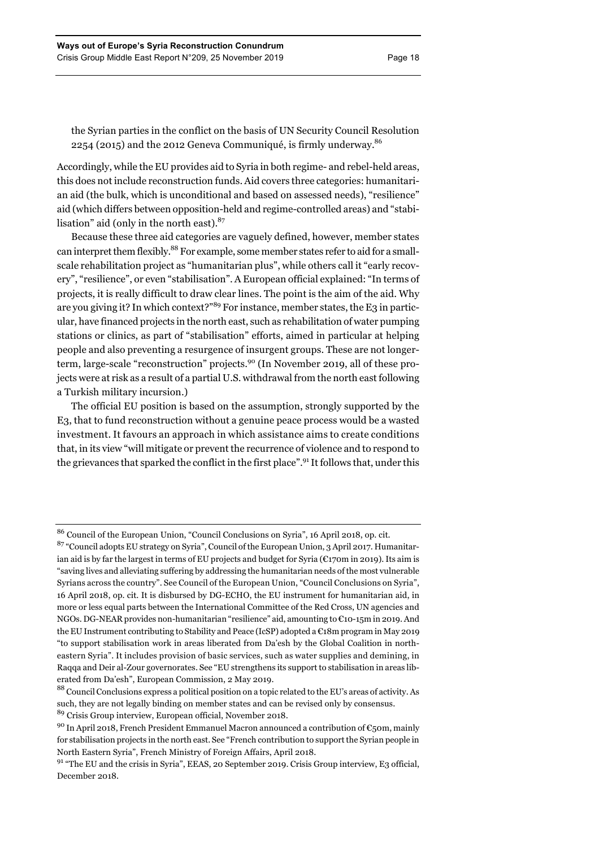the Syrian parties in the conflict on the basis of UN Security Council Resolution 2254 (2015) and the 2012 Geneva Communiqué, is firmly underway.86

Accordingly, while the EU provides aid to Syria in both regime- and rebel-held areas, this does not include reconstruction funds. Aid covers three categories: humanitarian aid (the bulk, which is unconditional and based on assessed needs), "resilience" aid (which differs between opposition-held and regime-controlled areas) and "stabilisation" aid (only in the north east). $87$ 

Because these three aid categories are vaguely defined, however, member states can interpret them flexibly.<sup>88</sup> For example, some member states refer to aid for a smallscale rehabilitation project as "humanitarian plus", while others call it "early recovery", "resilience", or even "stabilisation". A European official explained: "In terms of projects, it is really difficult to draw clear lines. The point is the aim of the aid. Why are you giving it? In which context?"<sup>89</sup> For instance, member states, the E3 in particular, have financed projects in the north east, such as rehabilitation of water pumping stations or clinics, as part of "stabilisation" efforts, aimed in particular at helping people and also preventing a resurgence of insurgent groups. These are not longerterm, large-scale "reconstruction" projects.<sup>90</sup> (In November 2019, all of these projects were at risk as a result of a partial U.S. withdrawal from the north east following a Turkish military incursion.)

The official EU position is based on the assumption, strongly supported by the E3, that to fund reconstruction without a genuine peace process would be a wasted investment. It favours an approach in which assistance aims to create conditions that, in its view "will mitigate or prevent the recurrence of violence and to respond to the grievances that sparked the conflict in the first place".<sup>91</sup> It follows that, under this

<sup>86</sup> Council of the European Union, "Council Conclusions on Syria", 16 April 2018, op. cit.

<sup>87</sup> "Council adopts EU strategy on Syria", Council of the European Union, 3 April 2017. Humanitarian aid is by far the largest in terms of EU projects and budget for Syria ( $\mathcal{C}_1$ 70m in 2019). Its aim is "saving lives and alleviating suffering by addressing the humanitarian needs of the most vulnerable Syrians across the country". See Council of the European Union, "Council Conclusions on Syria", 16 April 2018, op. cit. It is disbursed by DG-ECHO, the EU instrument for humanitarian aid, in more or less equal parts between the International Committee of the Red Cross, UN agencies and NGOs. DG-NEAR provides non-humanitarian "resilience" aid, amounting to €10-15m in 2019. And the EU Instrument contributing to Stability and Peace (IcSP) adopted a €18m program in May 2019 "to support stabilisation work in areas liberated from Da'esh by the Global Coalition in northeastern Syria". It includes provision of basic services, such as water supplies and demining, in Raqqa and Deir al-Zour governorates. See "EU strengthens its support to stabilisation in areas liberated from Da'esh", European Commission, 2 May 2019.

<sup>88</sup> Council Conclusions express a political position on a topic related to the EU's areas of activity. As such, they are not legally binding on member states and can be revised only by consensus.

<sup>89</sup> Crisis Group interview, European official, November 2018.

<sup>&</sup>lt;sup>90</sup> In April 2018, French President Emmanuel Macron announced a contribution of  $\epsilon$ 50m, mainly for stabilisation projects in the north east. See "French contribution to support the Syrian people in North Eastern Syria", French Ministry of Foreign Affairs, April 2018.

<sup>&</sup>lt;sup>91</sup> "The EU and the crisis in Syria", EEAS, 20 September 2019. Crisis Group interview, E3 official, December 2018.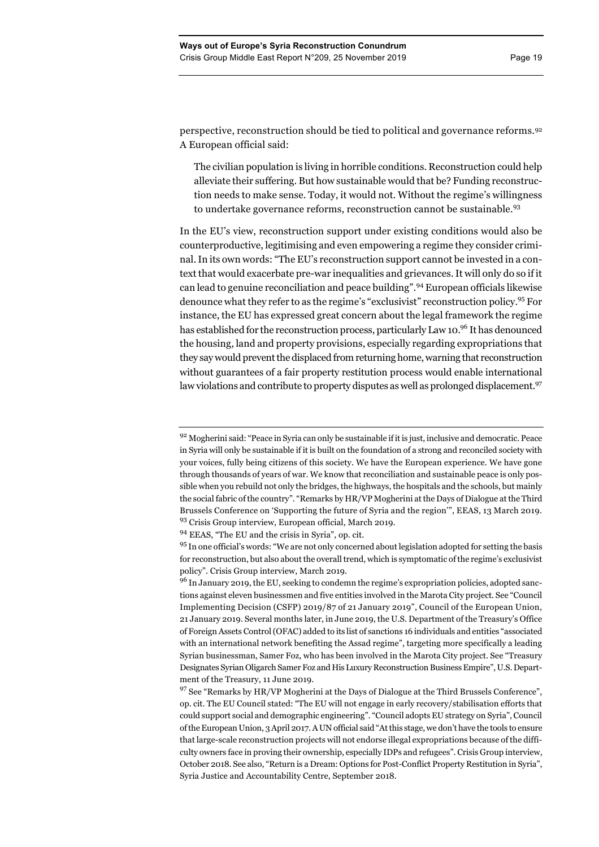perspective, reconstruction should be tied to political and governance reforms.92 A European official said:

The civilian population is living in horrible conditions. Reconstruction could help alleviate their suffering. But how sustainable would that be? Funding reconstruction needs to make sense. Today, it would not. Without the regime's willingness to undertake governance reforms, reconstruction cannot be sustainable.<sup>93</sup>

In the EU's view, reconstruction support under existing conditions would also be counterproductive, legitimising and even empowering a regime they consider criminal. In its own words: "The EU's reconstruction support cannot be invested in a context that would exacerbate pre-war inequalities and grievances. It will only do so if it can lead to genuine reconciliation and peace building".<sup>94</sup> European officials likewise denounce what they refer to as the regime's "exclusivist" reconstruction policy.95 For instance, the EU has expressed great concern about the legal framework the regime has established for the reconstruction process, particularly Law 10.<sup>96</sup> It has denounced the housing, land and property provisions, especially regarding expropriations that they say would prevent the displaced from returning home, warning that reconstruction without guarantees of a fair property restitution process would enable international law violations and contribute to property disputes as well as prolonged displacement.<sup>97</sup>

 $92$  Mogherini said: "Peace in Syria can only be sustainable if it is just, inclusive and democratic. Peace in Syria will only be sustainable if it is built on the foundation of a strong and reconciled society with your voices, fully being citizens of this society. We have the European experience. We have gone through thousands of years of war. We know that reconciliation and sustainable peace is only possible when you rebuild not only the bridges, the highways, the hospitals and the schools, but mainly the social fabric of the country". "Remarks by HR/VP Mogherini at the Days of Dialogue at the Third Brussels Conference on 'Supporting the future of Syria and the region'", EEAS, 13 March 2019. <sup>93</sup> Crisis Group interview, European official, March 2019.

<sup>94</sup> EEAS, "The EU and the crisis in Syria", op. cit.

<sup>&</sup>lt;sup>95</sup> In one official's words: "We are not only concerned about legislation adopted for setting the basis for reconstruction, but also about the overall trend, which is symptomatic of the regime's exclusivist policy". Crisis Group interview, March 2019.

<sup>&</sup>lt;sup>96</sup> In January 2019, the EU, seeking to condemn the regime's expropriation policies, adopted sanctions against eleven businessmen and five entities involved in the Marota City project. See "Council Implementing Decision (CSFP) 2019/87 of 21 January 2019", Council of the European Union, 21 January 2019. Several months later, in June 2019, the U.S. Department of the Treasury's Office of Foreign Assets Control (OFAC) added to its list of sanctions 16 individuals and entities "associated with an international network benefiting the Assad regime", targeting more specifically a leading Syrian businessman, Samer Foz, who has been involved in the Marota City project. See "Treasury Designates Syrian Oligarch Samer Foz and His Luxury Reconstruction Business Empire", U.S. Department of the Treasury, 11 June 2019.

 $97$  See "Remarks by HR/VP Mogherini at the Days of Dialogue at the Third Brussels Conference", op. cit. The EU Council stated: "The EU will not engage in early recovery/stabilisation efforts that could support social and demographic engineering". "Council adopts EU strategy on Syria", Council of the European Union, 3 April 2017. A UN official said "At this stage, we don't have the tools to ensure that large-scale reconstruction projects will not endorse illegal expropriations because of the difficulty owners face in proving their ownership, especially IDPs and refugees". Crisis Group interview, October 2018. See also, "Return is a Dream: Options for Post-Conflict Property Restitution in Syria", Syria Justice and Accountability Centre, September 2018.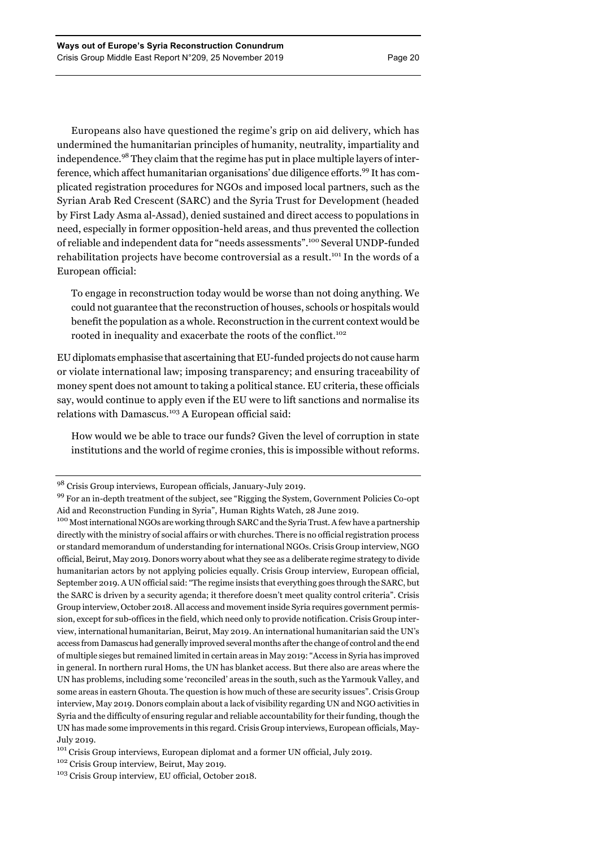Europeans also have questioned the regime's grip on aid delivery, which has undermined the humanitarian principles of humanity, neutrality, impartiality and independence.<sup>98</sup> They claim that the regime has put in place multiple layers of interference, which affect humanitarian organisations' due diligence efforts.<sup>99</sup> It has complicated registration procedures for NGOs and imposed local partners, such as the Syrian Arab Red Crescent (SARC) and the Syria Trust for Development (headed by First Lady Asma al-Assad), denied sustained and direct access to populations in need, especially in former opposition-held areas, and thus prevented the collection of reliable and independent data for "needs assessments".<sup>100</sup> Several UNDP-funded rehabilitation projects have become controversial as a result.<sup>101</sup> In the words of a European official:

To engage in reconstruction today would be worse than not doing anything. We could not guarantee that the reconstruction of houses, schools or hospitals would benefit the population as a whole. Reconstruction in the current context would be rooted in inequality and exacerbate the roots of the conflict.<sup>102</sup>

EU diplomats emphasise that ascertaining that EU-funded projects do not cause harm or violate international law; imposing transparency; and ensuring traceability of money spent does not amount to taking a political stance. EU criteria, these officials say, would continue to apply even if the EU were to lift sanctions and normalise its relations with Damascus.<sup>103</sup> A European official said:

How would we be able to trace our funds? Given the level of corruption in state institutions and the world of regime cronies, this is impossible without reforms.

<sup>98</sup> Crisis Group interviews, European officials, January-July 2019.

<sup>99</sup> For an in-depth treatment of the subject, see "Rigging the System, Government Policies Co-opt Aid and Reconstruction Funding in Syria", Human Rights Watch, 28 June 2019.

<sup>&</sup>lt;sup>100</sup> Most international NGOs are working through SARC and the Syria Trust. A few have a partnership directly with the ministry of social affairs or with churches. There is no official registration process or standard memorandum of understanding for international NGOs. Crisis Group interview, NGO official, Beirut, May 2019. Donors worry about what they see as a deliberate regime strategy to divide humanitarian actors by not applying policies equally. Crisis Group interview, European official, September 2019. A UN official said: "The regime insists that everything goes through the SARC, but the SARC is driven by a security agenda; it therefore doesn't meet quality control criteria". Crisis Group interview, October 2018. All access and movement inside Syria requires government permission, except for sub-offices in the field, which need only to provide notification. Crisis Group interview, international humanitarian, Beirut, May 2019. An international humanitarian said the UN's access from Damascus had generally improved several months after the change of control and the end of multiple sieges but remained limited in certain areas in May 2019: "Access in Syria has improved in general. In northern rural Homs, the UN has blanket access. But there also are areas where the UN has problems, including some 'reconciled' areas in the south, such as the Yarmouk Valley, and some areas in eastern Ghouta. The question is how much of these are security issues". Crisis Group interview, May 2019. Donors complain about a lack of visibility regarding UN and NGO activities in Syria and the difficulty of ensuring regular and reliable accountability for their funding, though the UN has made some improvements in this regard. Crisis Group interviews, European officials, May-July 2019.

 $101$  Crisis Group interviews, European diplomat and a former UN official, July 2019.  $102$  Crisis Group interview, Beirut, May 2019.

<sup>103</sup> Crisis Group interview, EU official, October 2018.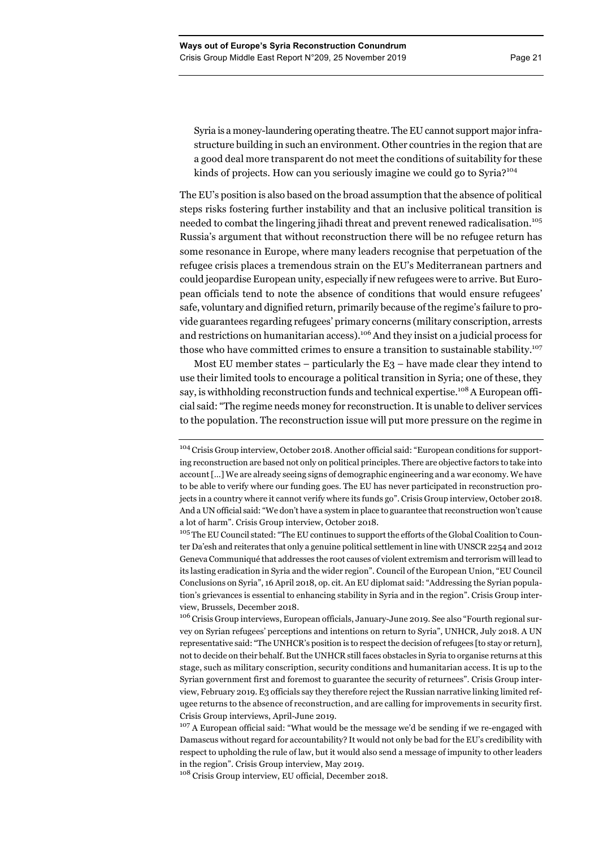Syria is a money-laundering operating theatre. The EU cannot support major infrastructure building in such an environment. Other countries in the region that are a good deal more transparent do not meet the conditions of suitability for these kinds of projects. How can you seriously imagine we could go to Syria?<sup>104</sup>

The EU's position is also based on the broad assumption that the absence of political steps risks fostering further instability and that an inclusive political transition is needed to combat the lingering jihadi threat and prevent renewed radicalisation.<sup>105</sup> Russia's argument that without reconstruction there will be no refugee return has some resonance in Europe, where many leaders recognise that perpetuation of the refugee crisis places a tremendous strain on the EU's Mediterranean partners and could jeopardise European unity, especially if new refugees were to arrive. But European officials tend to note the absence of conditions that would ensure refugees' safe, voluntary and dignified return, primarily because of the regime's failure to provide guarantees regarding refugees' primary concerns (military conscription, arrests and restrictions on humanitarian access).<sup>106</sup> And they insist on a judicial process for those who have committed crimes to ensure a transition to sustainable stability.<sup>107</sup>

Most EU member states – particularly the  $E_3$  – have made clear they intend to use their limited tools to encourage a political transition in Syria; one of these, they say, is withholding reconstruction funds and technical expertise.<sup>108</sup> A European official said: "The regime needs money for reconstruction. It is unable to deliver services to the population. The reconstruction issue will put more pressure on the regime in

<sup>106</sup> Crisis Group interviews, European officials, January-June 2019. See also "Fourth regional survey on Syrian refugees' perceptions and intentions on return to Syria", UNHCR, July 2018. A UN representative said: "The UNHCR's position is to respect the decision of refugees [to stay or return], not to decide on their behalf. But the UNHCR still faces obstacles in Syria to organise returns at this stage, such as military conscription, security conditions and humanitarian access. It is up to the Syrian government first and foremost to guarantee the security of returnees". Crisis Group interview, February 2019. E3 officials say they therefore reject the Russian narrative linking limited refugee returns to the absence of reconstruction, and are calling for improvements in security first. Crisis Group interviews, April-June 2019.

<sup>107</sup> A European official said: "What would be the message we'd be sending if we re-engaged with Damascus without regard for accountability? It would not only be bad for the EU's credibility with respect to upholding the rule of law, but it would also send a message of impunity to other leaders in the region". Crisis Group interview, May 2019.

<sup>108</sup> Crisis Group interview, EU official, December 2018.

<sup>&</sup>lt;sup>104</sup> Crisis Group interview, October 2018. Another official said: "European conditions for supporting reconstruction are based not only on political principles. There are objective factors to take into account […] We are already seeing signs of demographic engineering and a war economy. We have to be able to verify where our funding goes. The EU has never participated in reconstruction projects in a country where it cannot verify where its funds go". Crisis Group interview, October 2018. And a UN official said: "We don't have a system in place to guarantee that reconstruction won't cause a lot of harm". Crisis Group interview, October 2018.

<sup>&</sup>lt;sup>105</sup> The EU Council stated: "The EU continues to support the efforts of the Global Coalition to Counter Da'esh and reiterates that only a genuine political settlement in line with UNSCR 2254 and 2012 Geneva Communiqué that addresses the root causes of violent extremism and terrorism will lead to its lasting eradication in Syria and the wider region". Council of the European Union, "EU Council Conclusions on Syria", 16 April 2018, op. cit. An EU diplomat said: "Addressing the Syrian population's grievances is essential to enhancing stability in Syria and in the region". Crisis Group interview, Brussels, December 2018.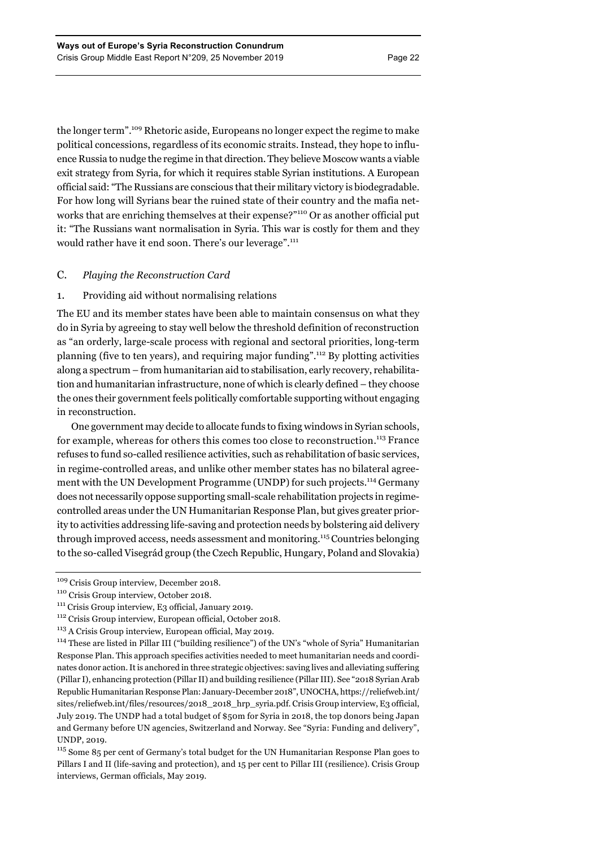the longer term".109 Rhetoric aside, Europeans no longer expect the regime to make political concessions, regardless of its economic straits. Instead, they hope to influence Russia to nudge the regime in that direction. They believe Moscow wants a viable exit strategy from Syria, for which it requires stable Syrian institutions. A European official said: "The Russians are conscious that their military victory is biodegradable. For how long will Syrians bear the ruined state of their country and the mafia networks that are enriching themselves at their expense?"<sup>110</sup> Or as another official put it: "The Russians want normalisation in Syria. This war is costly for them and they would rather have it end soon. There's our leverage".<sup>111</sup>

# C. *Playing the Reconstruction Card*

## 1. Providing aid without normalising relations

The EU and its member states have been able to maintain consensus on what they do in Syria by agreeing to stay well below the threshold definition of reconstruction as "an orderly, large-scale process with regional and sectoral priorities, long-term planning (five to ten years), and requiring major funding".112 By plotting activities along a spectrum – from humanitarian aid to stabilisation, early recovery, rehabilitation and humanitarian infrastructure, none of which is clearly defined – they choose the ones their government feels politically comfortable supporting without engaging in reconstruction.

One government may decide to allocate funds to fixing windows in Syrian schools, for example, whereas for others this comes too close to reconstruction.<sup>113</sup> France refuses to fund so-called resilience activities, such as rehabilitation of basic services, in regime-controlled areas, and unlike other member states has no bilateral agreement with the UN Development Programme (UNDP) for such projects.<sup>114</sup> Germany does not necessarily oppose supporting small-scale rehabilitation projects in regimecontrolled areas under the UN Humanitarian Response Plan, but gives greater priority to activities addressing life-saving and protection needs by bolstering aid delivery through improved access, needs assessment and monitoring.<sup>115</sup> Countries belonging to the so-called Visegrád group (the Czech Republic, Hungary, Poland and Slovakia)

<sup>109</sup> Crisis Group interview, December 2018.

<sup>110</sup> Crisis Group interview, October 2018. 111 Crisis Group interview, E3 official, January 2019.

<sup>112</sup> Crisis Group interview, European official, October 2018.

<sup>113</sup> A Crisis Group interview, European official, May 2019.

<sup>114</sup> These are listed in Pillar III ("building resilience") of the UN's "whole of Syria" Humanitarian Response Plan. This approach specifies activities needed to meet humanitarian needs and coordinates donor action. It is anchored in three strategic objectives: saving lives and alleviating suffering (Pillar I), enhancing protection (Pillar II) and building resilience (Pillar III). See "2018 Syrian Arab Republic Humanitarian Response Plan: January-December 2018", UNOCHA, https://reliefweb.int/ sites/reliefweb.int/files/resources/2018\_2018\_hrp\_syria.pdf. Crisis Group interview, E3 official, July 2019. The UNDP had a total budget of \$50m for Syria in 2018, the top donors being Japan and Germany before UN agencies, Switzerland and Norway. See "Syria: Funding and delivery", UNDP, 2019.

<sup>&</sup>lt;sup>115</sup> Some 85 per cent of Germany's total budget for the UN Humanitarian Response Plan goes to Pillars I and II (life-saving and protection), and 15 per cent to Pillar III (resilience). Crisis Group interviews, German officials, May 2019.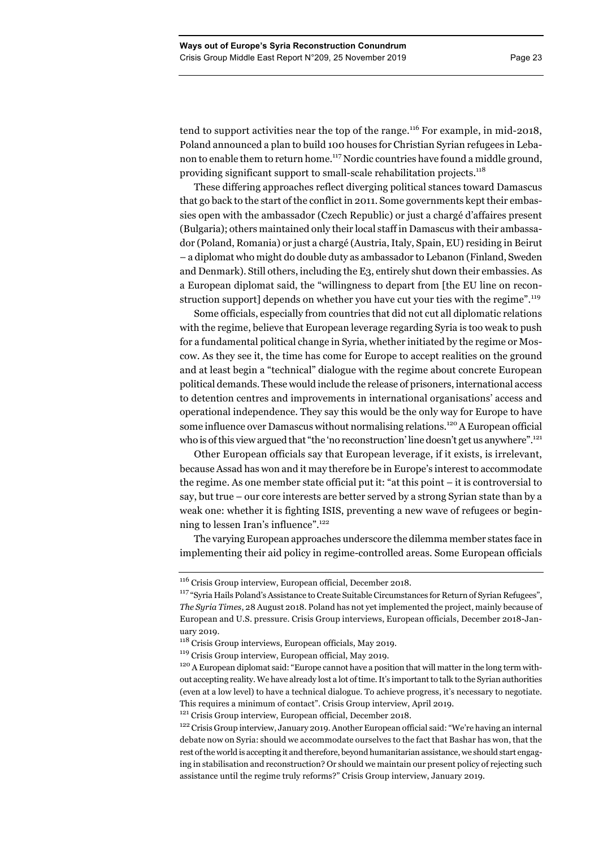tend to support activities near the top of the range.<sup>116</sup> For example, in mid-2018, Poland announced a plan to build 100 houses for Christian Syrian refugees in Lebanon to enable them to return home.<sup>117</sup> Nordic countries have found a middle ground, providing significant support to small-scale rehabilitation projects.118

These differing approaches reflect diverging political stances toward Damascus that go back to the start of the conflict in 2011. Some governments kept their embassies open with the ambassador (Czech Republic) or just a chargé d'affaires present (Bulgaria); others maintained only their local staff in Damascus with their ambassador (Poland, Romania) or just a chargé (Austria, Italy, Spain, EU) residing in Beirut – a diplomat who might do double duty as ambassador to Lebanon (Finland, Sweden and Denmark). Still others, including the E3, entirely shut down their embassies. As a European diplomat said, the "willingness to depart from [the EU line on reconstruction support] depends on whether you have cut your ties with the regime".<sup>119</sup>

Some officials, especially from countries that did not cut all diplomatic relations with the regime, believe that European leverage regarding Syria is too weak to push for a fundamental political change in Syria, whether initiated by the regime or Moscow. As they see it, the time has come for Europe to accept realities on the ground and at least begin a "technical" dialogue with the regime about concrete European political demands. These would include the release of prisoners, international access to detention centres and improvements in international organisations' access and operational independence. They say this would be the only way for Europe to have some influence over Damascus without normalising relations.<sup>120</sup> A European official who is of this view argued that "the 'no reconstruction' line doesn't get us anywhere".<sup>121</sup>

Other European officials say that European leverage, if it exists, is irrelevant, because Assad has won and it may therefore be in Europe's interest to accommodate the regime. As one member state official put it: "at this point – it is controversial to say, but true – our core interests are better served by a strong Syrian state than by a weak one: whether it is fighting ISIS, preventing a new wave of refugees or beginning to lessen Iran's influence".<sup>122</sup>

The varying European approaches underscore the dilemma member states face in implementing their aid policy in regime-controlled areas. Some European officials

<sup>116</sup> Crisis Group interview, European official, December 2018.

<sup>117</sup> "Syria Hails Poland's Assistance to Create Suitable Circumstances for Return of Syrian Refugees", *The Syria Times*, 28 August 2018. Poland has not yet implemented the project, mainly because of European and U.S. pressure. Crisis Group interviews, European officials, December 2018-January 2019.

<sup>118</sup> Crisis Group interviews, European officials, May 2019.

<sup>119</sup> Crisis Group interview, European official, May 2019.

<sup>&</sup>lt;sup>120</sup> A European diplomat said: "Europe cannot have a position that will matter in the long term without accepting reality. We have already lost a lot of time. It's important to talk to the Syrian authorities (even at a low level) to have a technical dialogue. To achieve progress, it's necessary to negotiate. This requires a minimum of contact". Crisis Group interview, April 2019.

<sup>&</sup>lt;sup>121</sup> Crisis Group interview, European official, December 2018.

<sup>&</sup>lt;sup>122</sup> Crisis Group interview, January 2019. Another European official said: "We're having an internal debate now on Syria: should we accommodate ourselves to the fact that Bashar has won, that the rest of the world is accepting it and therefore, beyond humanitarian assistance, we should start engaging in stabilisation and reconstruction? Or should we maintain our present policy of rejecting such assistance until the regime truly reforms?" Crisis Group interview, January 2019.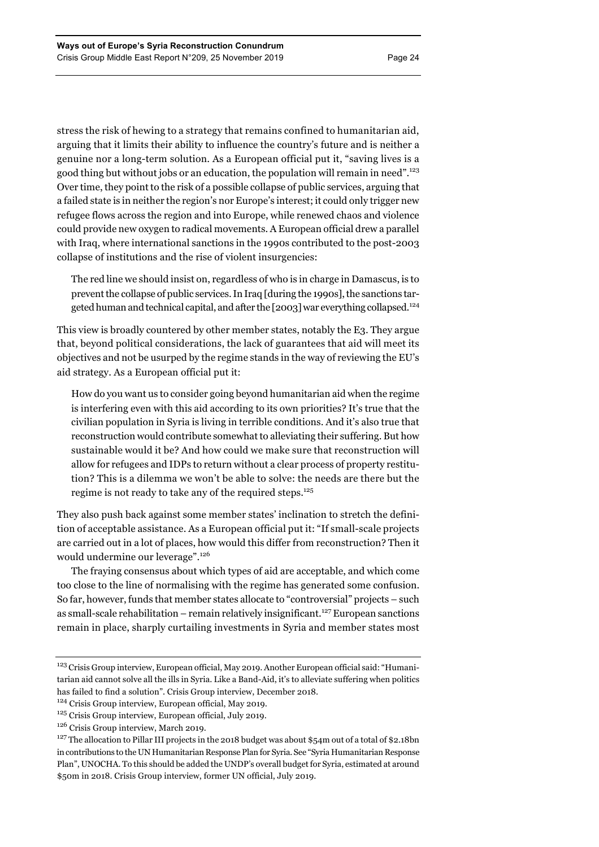stress the risk of hewing to a strategy that remains confined to humanitarian aid, arguing that it limits their ability to influence the country's future and is neither a genuine nor a long-term solution. As a European official put it, "saving lives is a good thing but without jobs or an education, the population will remain in need".123 Over time, they point to the risk of a possible collapse of public services, arguing that a failed state is in neither the region's nor Europe's interest; it could only trigger new refugee flows across the region and into Europe, while renewed chaos and violence could provide new oxygen to radical movements. A European official drew a parallel with Iraq, where international sanctions in the 1990s contributed to the post-2003 collapse of institutions and the rise of violent insurgencies:

The red line we should insist on, regardless of who is in charge in Damascus, is to prevent the collapse of public services. In Iraq [during the 1990s], the sanctions targeted human and technical capital, and after the [2003] war everything collapsed.124

This view is broadly countered by other member states, notably the E3. They argue that, beyond political considerations, the lack of guarantees that aid will meet its objectives and not be usurped by the regime stands in the way of reviewing the EU's aid strategy. As a European official put it:

How do you want us to consider going beyond humanitarian aid when the regime is interfering even with this aid according to its own priorities? It's true that the civilian population in Syria is living in terrible conditions. And it's also true that reconstruction would contribute somewhat to alleviating their suffering. But how sustainable would it be? And how could we make sure that reconstruction will allow for refugees and IDPs to return without a clear process of property restitution? This is a dilemma we won't be able to solve: the needs are there but the regime is not ready to take any of the required steps.125

They also push back against some member states' inclination to stretch the definition of acceptable assistance. As a European official put it: "If small-scale projects are carried out in a lot of places, how would this differ from reconstruction? Then it would undermine our leverage".<sup>126</sup>

The fraying consensus about which types of aid are acceptable, and which come too close to the line of normalising with the regime has generated some confusion. So far, however, funds that member states allocate to "controversial" projects – such as small-scale rehabilitation – remain relatively insignificant.<sup>127</sup> European sanctions remain in place, sharply curtailing investments in Syria and member states most

<sup>&</sup>lt;sup>123</sup> Crisis Group interview, European official, May 2019. Another European official said: "Humanitarian aid cannot solve all the ills in Syria. Like a Band-Aid, it's to alleviate suffering when politics has failed to find a solution". Crisis Group interview, December 2018.

<sup>&</sup>lt;sup>124</sup> Crisis Group interview, European official, May 2019.

<sup>125</sup> Crisis Group interview, European official, July 2019.

<sup>126</sup> Crisis Group interview, March 2019.

<sup>&</sup>lt;sup>127</sup> The allocation to Pillar III projects in the 2018 budget was about \$54m out of a total of \$2.18bn in contributions to the UN Humanitarian Response Plan for Syria. See "Syria Humanitarian Response Plan", UNOCHA. To this should be added the UNDP's overall budget for Syria, estimated at around \$50m in 2018. Crisis Group interview, former UN official, July 2019.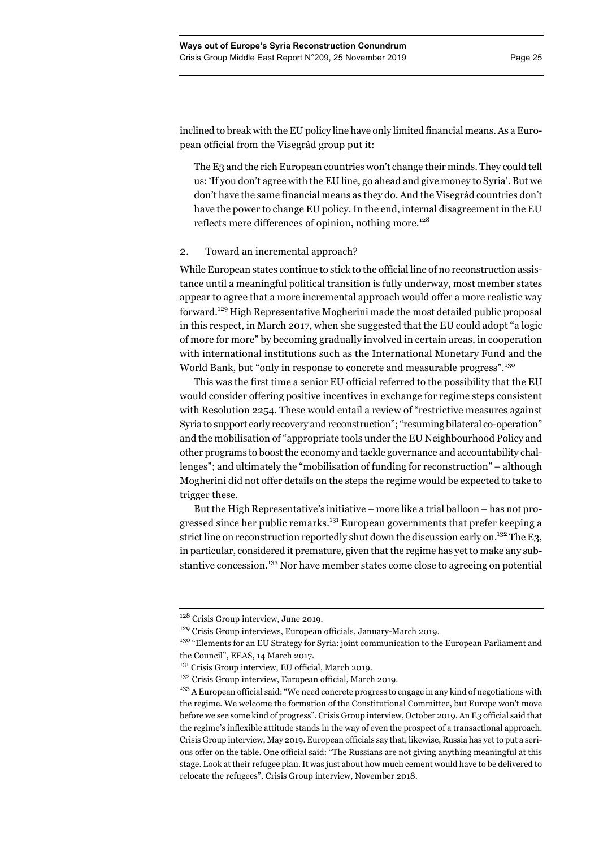inclined to break with the EU policy line have only limited financial means. As a European official from the Visegrád group put it:

The E3 and the rich European countries won't change their minds. They could tell us: 'If you don't agree with the EU line, go ahead and give money to Syria'. But we don't have the same financial means as they do. And the Visegrád countries don't have the power to change EU policy. In the end, internal disagreement in the EU reflects mere differences of opinion, nothing more.<sup>128</sup>

## 2. Toward an incremental approach?

While European states continue to stick to the official line of no reconstruction assistance until a meaningful political transition is fully underway, most member states appear to agree that a more incremental approach would offer a more realistic way forward.<sup>129</sup> High Representative Mogherini made the most detailed public proposal in this respect, in March 2017, when she suggested that the EU could adopt "a logic of more for more" by becoming gradually involved in certain areas, in cooperation with international institutions such as the International Monetary Fund and the World Bank, but "only in response to concrete and measurable progress".<sup>130</sup>

This was the first time a senior EU official referred to the possibility that the EU would consider offering positive incentives in exchange for regime steps consistent with Resolution 2254. These would entail a review of "restrictive measures against Syria to support early recovery and reconstruction"; "resuming bilateral co-operation" and the mobilisation of "appropriate tools under the EU Neighbourhood Policy and other programs to boost the economy and tackle governance and accountability challenges"; and ultimately the "mobilisation of funding for reconstruction" – although Mogherini did not offer details on the steps the regime would be expected to take to trigger these.

But the High Representative's initiative – more like a trial balloon – has not progressed since her public remarks.<sup>131</sup> European governments that prefer keeping a strict line on reconstruction reportedly shut down the discussion early on.<sup>132</sup> The E3, in particular, considered it premature, given that the regime has yet to make any substantive concession.<sup>133</sup> Nor have member states come close to agreeing on potential

<sup>&</sup>lt;sup>128</sup> Crisis Group interview, June 2019.

<sup>&</sup>lt;sup>129</sup> Crisis Group interviews, European officials, January-March 2019.

<sup>&</sup>lt;sup>130</sup> "Elements for an EU Strategy for Syria: joint communication to the European Parliament and the Council", EEAS, 14 March 2017.

<sup>&</sup>lt;sup>131</sup> Crisis Group interview, EU official, March 2019.

<sup>&</sup>lt;sup>132</sup> Crisis Group interview, European official, March 2019.

<sup>&</sup>lt;sup>133</sup> A European official said: "We need concrete progress to engage in any kind of negotiations with the regime. We welcome the formation of the Constitutional Committee, but Europe won't move before we see some kind of progress". Crisis Group interview, October 2019. An E3 official said that the regime's inflexible attitude stands in the way of even the prospect of a transactional approach. Crisis Group interview, May 2019. European officials say that, likewise, Russia has yet to put a serious offer on the table. One official said: "The Russians are not giving anything meaningful at this stage. Look at their refugee plan. It was just about how much cement would have to be delivered to relocate the refugees". Crisis Group interview, November 2018.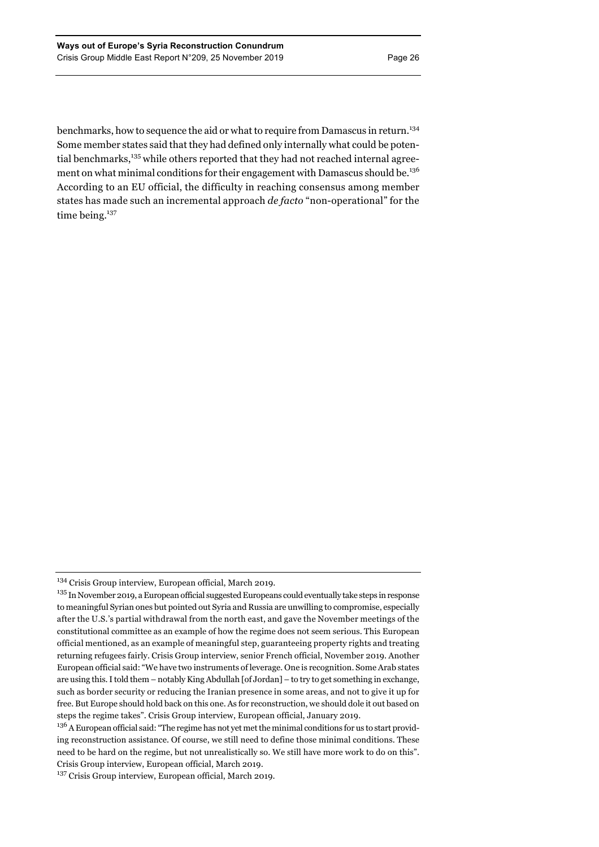benchmarks, how to sequence the aid or what to require from Damascus in return.<sup>134</sup> Some member states said that they had defined only internally what could be potential benchmarks,<sup>135</sup> while others reported that they had not reached internal agreement on what minimal conditions for their engagement with Damascus should be.<sup>136</sup> According to an EU official, the difficulty in reaching consensus among member states has made such an incremental approach *de facto* "non-operational" for the time being.<sup>137</sup>

<sup>&</sup>lt;sup>134</sup> Crisis Group interview, European official, March 2019.

<sup>&</sup>lt;sup>135</sup> In November 2019, a European official suggested Europeans could eventually take steps in response to meaningful Syrian ones but pointed out Syria and Russia are unwilling to compromise, especially after the U.S.'s partial withdrawal from the north east, and gave the November meetings of the constitutional committee as an example of how the regime does not seem serious. This European official mentioned, as an example of meaningful step, guaranteeing property rights and treating returning refugees fairly. Crisis Group interview, senior French official, November 2019. Another European official said: "We have two instruments of leverage. One is recognition. Some Arab states are using this. I told them – notably King Abdullah [of Jordan] – to try to get something in exchange, such as border security or reducing the Iranian presence in some areas, and not to give it up for free. But Europe should hold back on this one. As for reconstruction, we should dole it out based on steps the regime takes". Crisis Group interview, European official, January 2019.

<sup>&</sup>lt;sup>136</sup> A European official said: "The regime has not yet met the minimal conditions for us to start providing reconstruction assistance. Of course, we still need to define those minimal conditions. These need to be hard on the regime, but not unrealistically so. We still have more work to do on this". Crisis Group interview, European official, March 2019.

<sup>&</sup>lt;sup>137</sup> Crisis Group interview, European official, March 2019.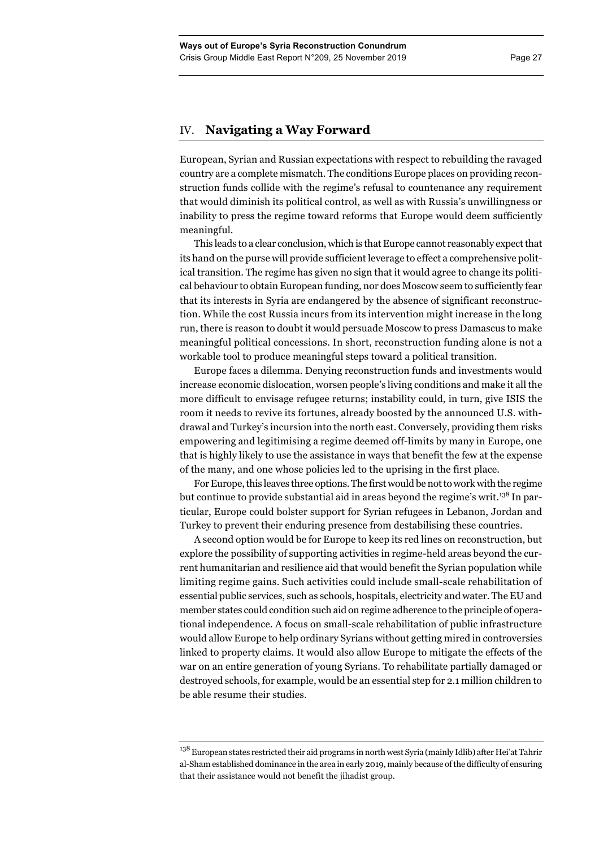# IV. **Navigating a Way Forward**

European, Syrian and Russian expectations with respect to rebuilding the ravaged country are a complete mismatch. The conditions Europe places on providing reconstruction funds collide with the regime's refusal to countenance any requirement that would diminish its political control, as well as with Russia's unwillingness or inability to press the regime toward reforms that Europe would deem sufficiently meaningful.

This leads to a clear conclusion, which is that Europe cannot reasonably expect that its hand on the purse will provide sufficient leverage to effect a comprehensive political transition. The regime has given no sign that it would agree to change its political behaviour to obtain European funding, nor does Moscow seem to sufficiently fear that its interests in Syria are endangered by the absence of significant reconstruction. While the cost Russia incurs from its intervention might increase in the long run, there is reason to doubt it would persuade Moscow to press Damascus to make meaningful political concessions. In short, reconstruction funding alone is not a workable tool to produce meaningful steps toward a political transition.

Europe faces a dilemma. Denying reconstruction funds and investments would increase economic dislocation, worsen people's living conditions and make it all the more difficult to envisage refugee returns; instability could, in turn, give ISIS the room it needs to revive its fortunes, already boosted by the announced U.S. withdrawal and Turkey's incursion into the north east. Conversely, providing them risks empowering and legitimising a regime deemed off-limits by many in Europe, one that is highly likely to use the assistance in ways that benefit the few at the expense of the many, and one whose policies led to the uprising in the first place.

For Europe, this leaves three options. The first would be not to work with the regime but continue to provide substantial aid in areas beyond the regime's writ.<sup>138</sup> In particular, Europe could bolster support for Syrian refugees in Lebanon, Jordan and Turkey to prevent their enduring presence from destabilising these countries.

A second option would be for Europe to keep its red lines on reconstruction, but explore the possibility of supporting activities in regime-held areas beyond the current humanitarian and resilience aid that would benefit the Syrian population while limiting regime gains. Such activities could include small-scale rehabilitation of essential public services, such as schools, hospitals, electricity and water. The EU and member states could condition such aid on regime adherence to the principle of operational independence. A focus on small-scale rehabilitation of public infrastructure would allow Europe to help ordinary Syrians without getting mired in controversies linked to property claims. It would also allow Europe to mitigate the effects of the war on an entire generation of young Syrians. To rehabilitate partially damaged or destroyed schools, for example, would be an essential step for 2.1 million children to be able resume their studies.

 $138$  European states restricted their aid programs in north west Syria (mainly Idlib) after Hei'at Tahrir al-Sham established dominance in the area in early 2019, mainly because of the difficulty of ensuring that their assistance would not benefit the jihadist group.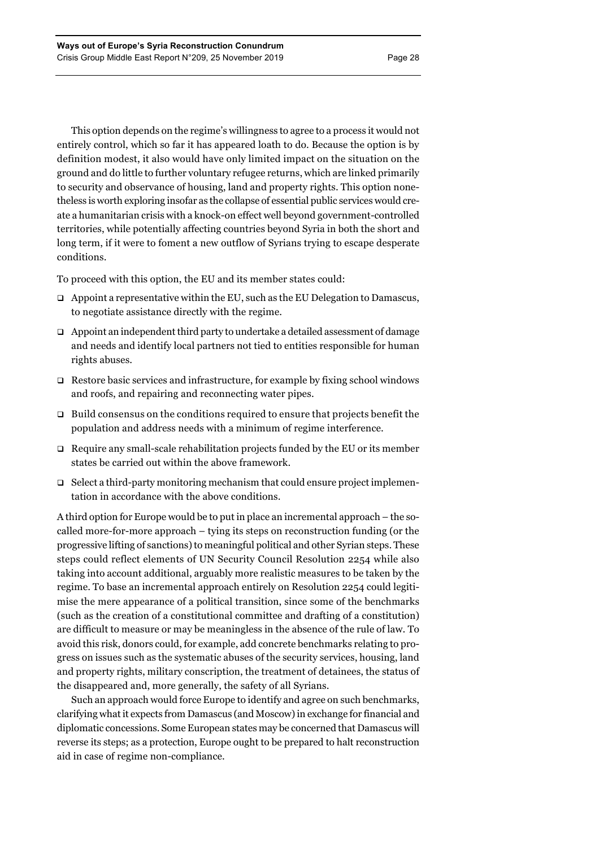This option depends on the regime's willingness to agree to a process it would not entirely control, which so far it has appeared loath to do. Because the option is by definition modest, it also would have only limited impact on the situation on the ground and do little to further voluntary refugee returns, which are linked primarily to security and observance of housing, land and property rights. This option nonetheless is worth exploring insofar as the collapse of essential public services would create a humanitarian crisis with a knock-on effect well beyond government-controlled territories, while potentially affecting countries beyond Syria in both the short and long term, if it were to foment a new outflow of Syrians trying to escape desperate conditions.

To proceed with this option, the EU and its member states could:

- $\Box$  Appoint a representative within the EU, such as the EU Delegation to Damascus, to negotiate assistance directly with the regime.
- $\Box$  Appoint an independent third party to undertake a detailed assessment of damage and needs and identify local partners not tied to entities responsible for human rights abuses.
- $\Box$  Restore basic services and infrastructure, for example by fixing school windows and roofs, and repairing and reconnecting water pipes.
- $\Box$  Build consensus on the conditions required to ensure that projects benefit the population and address needs with a minimum of regime interference.
- $\Box$  Require any small-scale rehabilitation projects funded by the EU or its member states be carried out within the above framework.
- $\Box$  Select a third-party monitoring mechanism that could ensure project implementation in accordance with the above conditions.

A third option for Europe would be to put in place an incremental approach – the socalled more-for-more approach – tying its steps on reconstruction funding (or the progressive lifting of sanctions) to meaningful political and other Syrian steps. These steps could reflect elements of UN Security Council Resolution 2254 while also taking into account additional, arguably more realistic measures to be taken by the regime. To base an incremental approach entirely on Resolution 2254 could legitimise the mere appearance of a political transition, since some of the benchmarks (such as the creation of a constitutional committee and drafting of a constitution) are difficult to measure or may be meaningless in the absence of the rule of law. To avoid this risk, donors could, for example, add concrete benchmarks relating to progress on issues such as the systematic abuses of the security services, housing, land and property rights, military conscription, the treatment of detainees, the status of the disappeared and, more generally, the safety of all Syrians.

Such an approach would force Europe to identify and agree on such benchmarks, clarifying what it expects from Damascus (and Moscow) in exchange for financial and diplomatic concessions. Some European states may be concerned that Damascus will reverse its steps; as a protection, Europe ought to be prepared to halt reconstruction aid in case of regime non-compliance.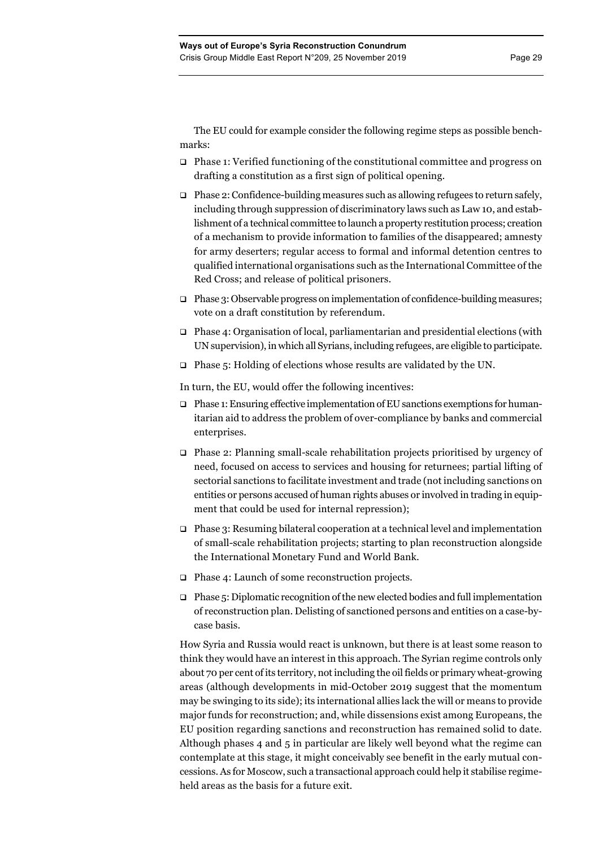The EU could for example consider the following regime steps as possible benchmarks:

- □ Phase 1: Verified functioning of the constitutional committee and progress on drafting a constitution as a first sign of political opening.
- $\Box$  Phase 2: Confidence-building measures such as allowing refugees to return safely, including through suppression of discriminatory laws such as Law 10, and establishment of a technical committee to launch a property restitution process; creation of a mechanism to provide information to families of the disappeared; amnesty for army deserters; regular access to formal and informal detention centres to qualified international organisations such as the International Committee of the Red Cross; and release of political prisoners.
- $\Box$  Phase 3: Observable progress on implementation of confidence-building measures; vote on a draft constitution by referendum.
- $\Box$  Phase 4: Organisation of local, parliamentarian and presidential elections (with UN supervision), in which all Syrians, including refugees, are eligible to participate.
- $\Box$  Phase 5: Holding of elections whose results are validated by the UN.

In turn, the EU, would offer the following incentives:

- $\Box$  Phase 1: Ensuring effective implementation of EU sanctions exemptions for humanitarian aid to address the problem of over-compliance by banks and commercial enterprises.
- $\Box$  Phase 2: Planning small-scale rehabilitation projects prioritised by urgency of need, focused on access to services and housing for returnees; partial lifting of sectorial sanctions to facilitate investment and trade (not including sanctions on entities or persons accused of human rights abuses or involved in trading in equipment that could be used for internal repression);
- $\Box$  Phase 3: Resuming bilateral cooperation at a technical level and implementation of small-scale rehabilitation projects; starting to plan reconstruction alongside the International Monetary Fund and World Bank.
- $\Box$  Phase 4: Launch of some reconstruction projects.
- $\Box$  Phase 5: Diplomatic recognition of the new elected bodies and full implementation of reconstruction plan. Delisting of sanctioned persons and entities on a case-bycase basis.

How Syria and Russia would react is unknown, but there is at least some reason to think they would have an interest in this approach. The Syrian regime controls only about 70 per cent of its territory, not including the oil fields or primary wheat-growing areas (although developments in mid-October 2019 suggest that the momentum may be swinging to its side); its international allies lack the will or means to provide major funds for reconstruction; and, while dissensions exist among Europeans, the EU position regarding sanctions and reconstruction has remained solid to date. Although phases 4 and 5 in particular are likely well beyond what the regime can contemplate at this stage, it might conceivably see benefit in the early mutual concessions. As for Moscow, such a transactional approach could help it stabilise regimeheld areas as the basis for a future exit.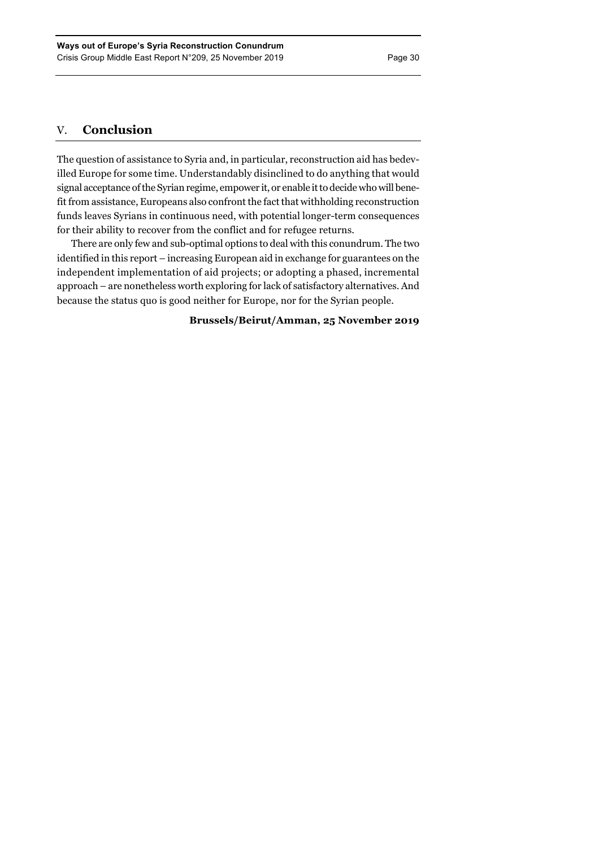# V. **Conclusion**

The question of assistance to Syria and, in particular, reconstruction aid has bedevilled Europe for some time. Understandably disinclined to do anything that would signal acceptance of the Syrian regime, empower it, or enable it to decide who will benefit from assistance, Europeans also confront the fact that withholding reconstruction funds leaves Syrians in continuous need, with potential longer-term consequences for their ability to recover from the conflict and for refugee returns.

There are only few and sub-optimal options to deal with this conundrum. The two identified in this report – increasing European aid in exchange for guarantees on the independent implementation of aid projects; or adopting a phased, incremental approach – are nonetheless worth exploring for lack of satisfactory alternatives. And because the status quo is good neither for Europe, nor for the Syrian people.

**Brussels/Beirut/Amman, 25 November 2019**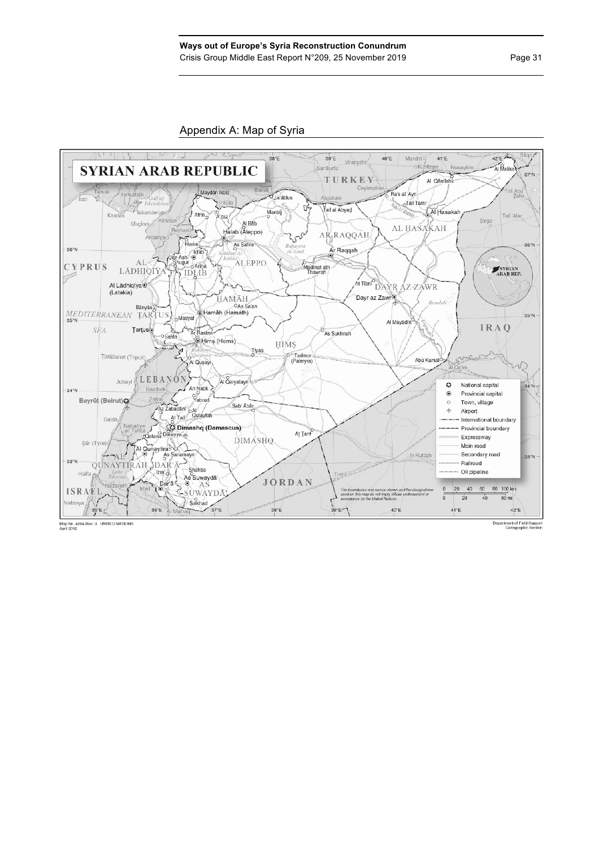

Department of Field Support<br>Cartographic Section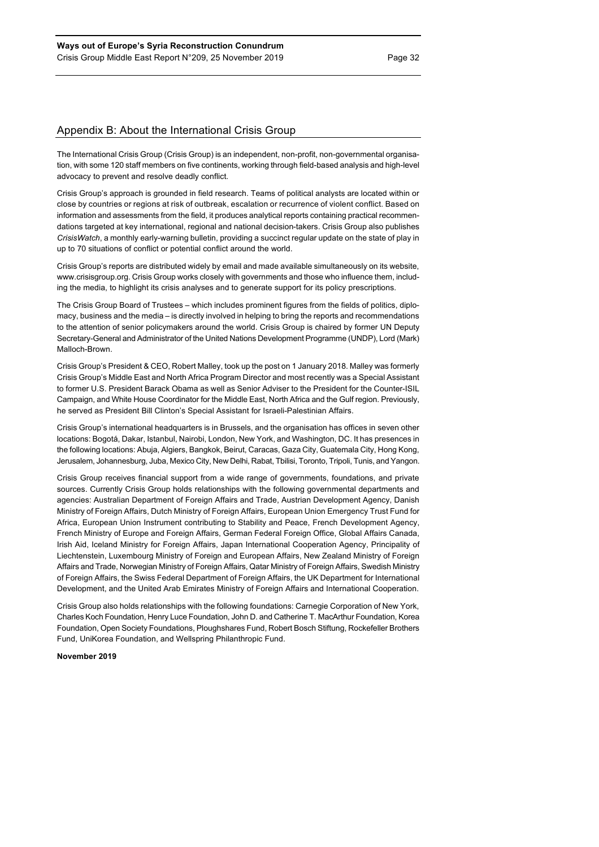# Appendix B: About the International Crisis Group

The International Crisis Group (Crisis Group) is an independent, non-profit, non-governmental organisation, with some 120 staff members on five continents, working through field-based analysis and high-level advocacy to prevent and resolve deadly conflict.

Crisis Group's approach is grounded in field research. Teams of political analysts are located within or close by countries or regions at risk of outbreak, escalation or recurrence of violent conflict. Based on information and assessments from the field, it produces analytical reports containing practical recommendations targeted at key international, regional and national decision-takers. Crisis Group also publishes *CrisisWatch*, a monthly early-warning bulletin, providing a succinct regular update on the state of play in up to 70 situations of conflict or potential conflict around the world.

Crisis Group's reports are distributed widely by email and made available simultaneously on its website, www.crisisgroup.org. Crisis Group works closely with governments and those who influence them, including the media, to highlight its crisis analyses and to generate support for its policy prescriptions.

The Crisis Group Board of Trustees – which includes prominent figures from the fields of politics, diplomacy, business and the media – is directly involved in helping to bring the reports and recommendations to the attention of senior policymakers around the world. Crisis Group is chaired by former UN Deputy Secretary-General and Administrator of the United Nations Development Programme (UNDP), Lord (Mark) Malloch-Brown.

Crisis Group's President & CEO, Robert Malley, took up the post on 1 January 2018. Malley was formerly Crisis Group's Middle East and North Africa Program Director and most recently was a Special Assistant to former U.S. President Barack Obama as well as Senior Adviser to the President for the Counter-ISIL Campaign, and White House Coordinator for the Middle East, North Africa and the Gulf region. Previously, he served as President Bill Clinton's Special Assistant for Israeli-Palestinian Affairs.

Crisis Group's international headquarters is in Brussels, and the organisation has offices in seven other locations: Bogotá, Dakar, Istanbul, Nairobi, London, New York, and Washington, DC. It has presences in the following locations: Abuja, Algiers, Bangkok, Beirut, Caracas, Gaza City, Guatemala City, Hong Kong, Jerusalem, Johannesburg, Juba, Mexico City, New Delhi, Rabat, Tbilisi, Toronto, Tripoli, Tunis, and Yangon.

Crisis Group receives financial support from a wide range of governments, foundations, and private sources. Currently Crisis Group holds relationships with the following governmental departments and agencies: Australian Department of Foreign Affairs and Trade, Austrian Development Agency, Danish Ministry of Foreign Affairs, Dutch Ministry of Foreign Affairs, European Union Emergency Trust Fund for Africa, European Union Instrument contributing to Stability and Peace, French Development Agency, French Ministry of Europe and Foreign Affairs, German Federal Foreign Office, Global Affairs Canada, Irish Aid, Iceland Ministry for Foreign Affairs, Japan International Cooperation Agency, Principality of Liechtenstein, Luxembourg Ministry of Foreign and European Affairs, New Zealand Ministry of Foreign Affairs and Trade, Norwegian Ministry of Foreign Affairs, Qatar Ministry of Foreign Affairs, Swedish Ministry of Foreign Affairs, the Swiss Federal Department of Foreign Affairs, the UK Department for International Development, and the United Arab Emirates Ministry of Foreign Affairs and International Cooperation.

Crisis Group also holds relationships with the following foundations: Carnegie Corporation of New York, Charles Koch Foundation, Henry Luce Foundation, John D. and Catherine T. MacArthur Foundation, Korea Foundation, Open Society Foundations, Ploughshares Fund, Robert Bosch Stiftung, Rockefeller Brothers Fund, UniKorea Foundation, and Wellspring Philanthropic Fund.

#### **November 2019**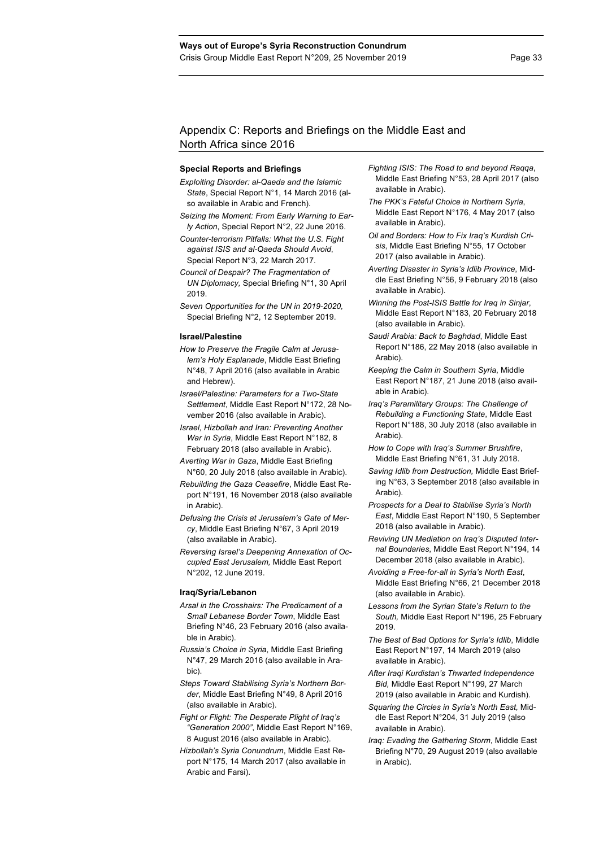# Appendix C: Reports and Briefings on the Middle East and North Africa since 2016

### **Special Reports and Briefings**

- *Exploiting Disorder: al-Qaeda and the Islamic State*, Special Report N°1, 14 March 2016 (also available in Arabic and French).
- *Seizing the Moment: From Early Warning to Early Action*, Special Report N°2, 22 June 2016.
- *Counter-terrorism Pitfalls: What the U.S. Fight against ISIS and al-Qaeda Should Avoid*, Special Report N°3, 22 March 2017.
- *Council of Despair? The Fragmentation of UN Diplomacy,* Special Briefing N°1, 30 April 2019.
- *Seven Opportunities for the UN in 2019-2020,*  Special Briefing N°2, 12 September 2019.

#### **Israel/Palestine**

- *How to Preserve the Fragile Calm at Jerusalem's Holy Esplanade*, Middle East Briefing N°48, 7 April 2016 (also available in Arabic and Hebrew).
- *Israel/Palestine: Parameters for a Two-State Settlement*, Middle East Report N°172, 28 November 2016 (also available in Arabic).
- *Israel, Hizbollah and Iran: Preventing Another War in Syria*, Middle East Report N°182, 8 February 2018 (also available in Arabic).
- *Averting War in Gaza*, Middle East Briefing N°60, 20 July 2018 (also available in Arabic).
- *Rebuilding the Gaza Ceasefire*, Middle East Report N°191, 16 November 2018 (also available in Arabic).
- *Defusing the Crisis at Jerusalem's Gate of Mercy*, Middle East Briefing N°67, 3 April 2019 (also available in Arabic).
- *Reversing Israel's Deepening Annexation of Occupied East Jerusalem,* Middle East Report N°202, 12 June 2019.

#### **Iraq/Syria/Lebanon**

- *Arsal in the Crosshairs: The Predicament of a Small Lebanese Border Town*, Middle East Briefing N°46, 23 February 2016 (also available in Arabic).
- *Russia's Choice in Syria*, Middle East Briefing N°47, 29 March 2016 (also available in Arabic).
- *Steps Toward Stabilising Syria's Northern Border*, Middle East Briefing N°49, 8 April 2016 (also available in Arabic).
- *Fight or Flight: The Desperate Plight of Iraq's "Generation 2000"*, Middle East Report N°169, 8 August 2016 (also available in Arabic).
- *Hizbollah's Syria Conundrum*, Middle East Report N°175, 14 March 2017 (also available in Arabic and Farsi).
- *Fighting ISIS: The Road to and beyond Raqqa*, Middle East Briefing N°53, 28 April 2017 (also available in Arabic).
- *The PKK's Fateful Choice in Northern Syria*, Middle East Report N°176, 4 May 2017 (also available in Arabic).
- *Oil and Borders: How to Fix Iraq's Kurdish Crisis*, Middle East Briefing N°55, 17 October 2017 (also available in Arabic).
- *Averting Disaster in Syria's Idlib Province*, Middle East Briefing N°56, 9 February 2018 (also available in Arabic).
- *Winning the Post-ISIS Battle for Iraq in Sinjar*, Middle East Report N°183, 20 February 2018 (also available in Arabic).
- *Saudi Arabia: Back to Baghdad*, Middle East Report N°186, 22 May 2018 (also available in Arabic).
- *Keeping the Calm in Southern Syria*, Middle East Report N°187, 21 June 2018 (also available in Arabic).
- *Iraq's Paramilitary Groups: The Challenge of Rebuilding a Functioning State*, Middle East Report N°188, 30 July 2018 (also available in Arabic).
- *How to Cope with Iraq's Summer Brushfire*, Middle East Briefing N°61, 31 July 2018.
- *Saving Idlib from Destruction,* Middle East Briefing N°63, 3 September 2018 (also available in Arabic).
- *Prospects for a Deal to Stabilise Syria's North East*, Middle East Report N°190, 5 September 2018 (also available in Arabic).
- *Reviving UN Mediation on Iraq's Disputed Internal Boundaries*, Middle East Report N°194, 14 December 2018 (also available in Arabic).
- *Avoiding a Free-for-all in Syria's North East*, Middle East Briefing N°66, 21 December 2018 (also available in Arabic).
- *Lessons from the Syrian State's Return to the South,* Middle East Report N°196, 25 February 2019.
- *The Best of Bad Options for Syria's Idlib*, Middle East Report N°197, 14 March 2019 (also available in Arabic).
- *After Iraqi Kurdistan's Thwarted Independence Bid,* Middle East Report N°199, 27 March 2019 (also available in Arabic and Kurdish).
- *Squaring the Circles in Syria's North East,* Middle East Report N°204, 31 July 2019 (also available in Arabic).
- *Iraq: Evading the Gathering Storm*, Middle East Briefing N°70, 29 August 2019 (also available in Arabic).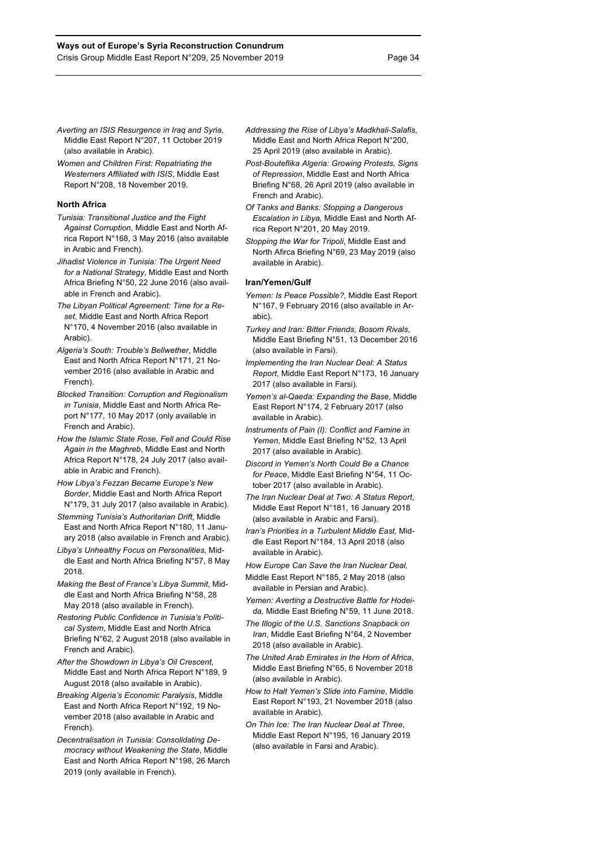- *Averting an ISIS Resurgence in Iraq and Syria,*  Middle East Report N°207, 11 October 2019 (also available in Arabic).
- *Women and Children First: Repatriating the Westerners Affiliated with ISIS*, Middle East Report N°208, 18 November 2019.

#### **North Africa**

- *Tunisia: Transitional Justice and the Fight Against Corruption*, Middle East and North Africa Report N°168, 3 May 2016 (also available in Arabic and French).
- *Jihadist Violence in Tunisia: The Urgent Need for a National Strategy*, Middle East and North Africa Briefing N°50, 22 June 2016 (also available in French and Arabic).
- *The Libyan Political Agreement: Time for a Reset*, Middle East and North Africa Report N°170, 4 November 2016 (also available in Arabic).
- *Algeria's South: Trouble's Bellwether*, Middle East and North Africa Report N°171, 21 November 2016 (also available in Arabic and French).
- *Blocked Transition: Corruption and Regionalism in Tunisia*, Middle East and North Africa Report N°177, 10 May 2017 (only available in French and Arabic).
- *How the Islamic State Rose, Fell and Could Rise Again in the Maghreb*, Middle East and North Africa Report N°178, 24 July 2017 (also available in Arabic and French).
- *How Libya's Fezzan Became Europe's New Border*, Middle East and North Africa Report N°179, 31 July 2017 (also available in Arabic).
- *Stemming Tunisia's Authoritarian Drift*, Middle East and North Africa Report N°180, 11 January 2018 (also available in French and Arabic).
- *Libya's Unhealthy Focus on Personalities,* Middle East and North Africa Briefing N°57, 8 May 2018.
- *Making the Best of France's Libya Summit*, Middle East and North Africa Briefing N°58, 28 May 2018 (also available in French).
- *Restoring Public Confidence in Tunisia's Political System*, Middle East and North Africa Briefing N°62, 2 August 2018 (also available in French and Arabic).
- *After the Showdown in Libya's Oil Crescent,*  Middle East and North Africa Report N°189, 9 August 2018 (also available in Arabic).
- *Breaking Algeria's Economic Paralysis*, Middle East and North Africa Report N°192, 19 November 2018 (also available in Arabic and French).
- *Decentralisation in Tunisia: Consolidating Democracy without Weakening the State*, Middle East and North Africa Report N°198, 26 March 2019 (only available in French).
- *Addressing the Rise of Libya's Madkhali-Salafis*, Middle East and North Africa Report N°200, 25 April 2019 (also available in Arabic).
- *Post-Bouteflika Algeria: Growing Protests, Signs of Repression*, Middle East and North Africa Briefing N°68, 26 April 2019 (also available in French and Arabic).
- *Of Tanks and Banks: Stopping a Dangerous Escalation in Libya,* Middle East and North Africa Report N°201, 20 May 2019.
- *Stopping the War for Tripoli*, Middle East and North Afirca Briefing N°69, 23 May 2019 (also available in Arabic).

#### **Iran/Yemen/Gulf**

- *Yemen: Is Peace Possible?*, Middle East Report N°167, 9 February 2016 (also available in Arabic).
- *Turkey and Iran: Bitter Friends, Bosom Rivals*, Middle East Briefing N°51, 13 December 2016 (also available in Farsi).
- *Implementing the Iran Nuclear Deal: A Status Report*, Middle East Report N°173, 16 January 2017 (also available in Farsi).
- *Yemen's al-Qaeda: Expanding the Base*, Middle East Report N°174, 2 February 2017 (also available in Arabic).
- *Instruments of Pain (I): Conflict and Famine in Yemen*, Middle East Briefing N°52, 13 April 2017 (also available in Arabic).
- *Discord in Yemen's North Could Be a Chance for Peace*, Middle East Briefing N°54, 11 October 2017 (also available in Arabic).
- *The Iran Nuclear Deal at Two: A Status Report*, Middle East Report N°181, 16 January 2018 (also available in Arabic and Farsi).
- *Iran's Priorities in a Turbulent Middle East,* Middle East Report N°184, 13 April 2018 (also available in Arabic).
- *How Europe Can Save the Iran Nuclear Deal,*
- Middle East Report N°185, 2 May 2018 (also available in Persian and Arabic).
- *Yemen: Averting a Destructive Battle for Hodeida,* Middle East Briefing N°59, 11 June 2018.
- *The Illogic of the U.S. Sanctions Snapback on Iran*, Middle East Briefing N°64, 2 November 2018 (also available in Arabic).
- *The United Arab Emirates in the Horn of Africa*, Middle East Briefing N°65, 6 November 2018 (also available in Arabic).
- *How to Halt Yemen's Slide into Famine*, Middle East Report N°193, 21 November 2018 (also available in Arabic).
- *On Thin Ice: The Iran Nuclear Deal at Three*, Middle East Report N°195, 16 January 2019 (also available in Farsi and Arabic).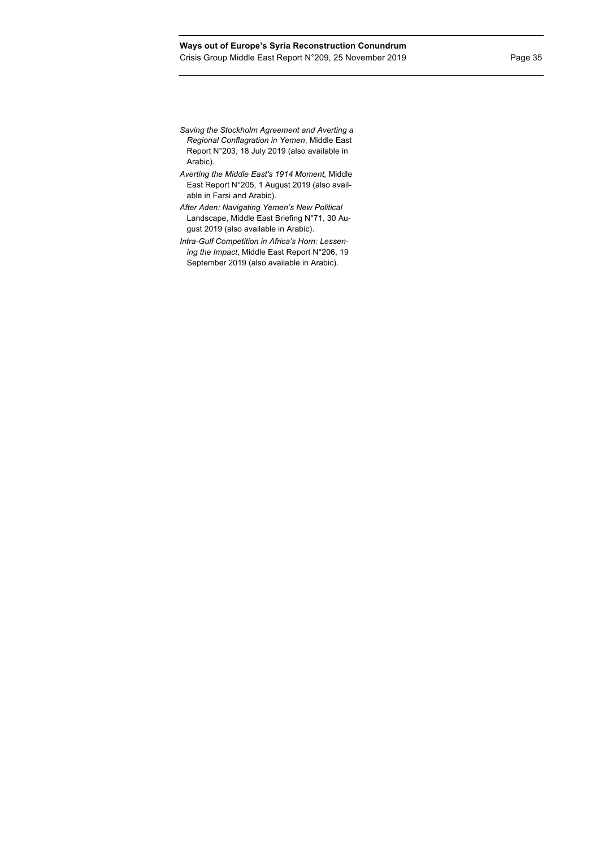# **Ways out of Europe's Syria Reconstruction Conundrum** Crisis Group Middle East Report N°209, 25 November 2019 Page 35

- *Saving the Stockholm Agreement and Averting a Regional Conflagration in Yemen*, Middle East Report N°203, 18 July 2019 (also available in Arabic).
- *Averting the Middle East's 1914 Moment,* Middle East Report N°205, 1 August 2019 (also available in Farsi and Arabic).
- *After Aden: Navigating Yemen's New Political*  Landscape, Middle East Briefing N°71, 30 August 2019 (also available in Arabic).
- *Intra-Gulf Competition in Africa's Horn: Lessening the Impact*, Middle East Report N°206, 19 September 2019 (also available in Arabic).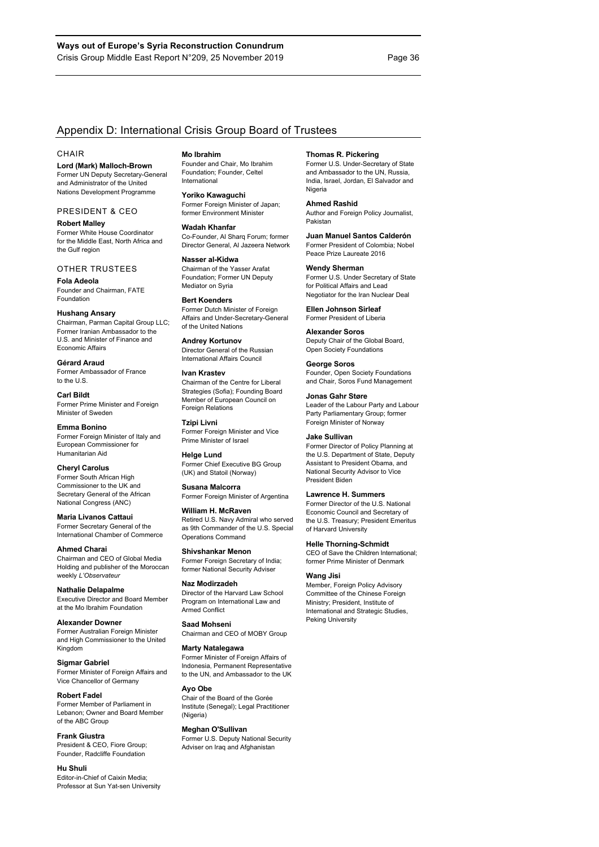# Appendix D: International Crisis Group Board of Trustees

#### **CHAIR**

**Lord (Mark) Malloch-Brown** Former UN Deputy Secretary-General and Administrator of the United Nations Development Programme

#### PRESIDENT & CEO

**Robert Malley** Former White House Coordinator for the Middle East, North Africa and the Gulf region

## OTHER TRUSTEES

**Fola Adeola** Founder and Chairman, FATE Foundation

#### **Hushang Ansary**

Chairman, Parman Capital Group LLC; Former Iranian Ambassador to the U.S. and Minister of Finance and Economic Affairs

**Gérard Araud** Former Ambassador of France to the U.S.

#### **Carl Bildt** Former Prime Minister and Foreign Minister of Sweden

**Emma Bonino** Former Foreign Minister of Italy and European Commissioner for Humanitarian Aid

**Cheryl Carolus** Former South African High Commissioner to the UK and Secretary General of the African National Congress (ANC)

**Maria Livanos Cattaui** Former Secretary General of the International Chamber of Commerce

**Ahmed Charai** Chairman and CEO of Global Media Holding and publisher of the Moroccan weekly *L'Observateur*

**Nathalie Delapalme** Executive Director and Board Member at the Mo Ibrahim Foundation

**Alexander Downer** Former Australian Foreign Minister and High Commissioner to the United Kingdom

**Sigmar Gabriel** Former Minister of Foreign Affairs and Vice Chancellor of Germany

**Robert Fadel** Former Member of Parliament in Lebanon; Owner and Board Member of the ABC Group

#### **Frank Giustra**

President & CEO, Fiore Group; Founder, Radcliffe Foundation

#### **Hu Shuli**

Editor-in-Chief of Caixin Media; Professor at Sun Yat-sen University

#### **Mo Ibrahim**

Founder and Chair, Mo Ibrahim Foundation; Founder, Celtel International

**Yoriko Kawaguchi** Former Foreign Minister of Japan; former Environment Minister

**Wadah Khanfar** Co-Founder, Al Sharq Forum; former Director General, Al Jazeera Network

**Nasser al-Kidwa** Chairman of the Yasser Arafat Foundation; Former UN Deputy Mediator on Syria

#### **Bert Koenders**

Former Dutch Minister of Foreign Affairs and Under-Secretary-General of the United Nations

**Andrey Kortunov** Director General of the Russian International Affairs Council

#### **Ivan Krastev**

Chairman of the Centre for Liberal Strategies (Sofia); Founding Board Member of European Council on Foreign Relations

**Tzipi Livni**  Former Foreign Minister and Vice Prime Minister of Israel

**Helge Lund** Former Chief Executive BG Group (UK) and Statoil (Norway)

**Susana Malcorra** Former Foreign Minister of Argentina

**William H. McRaven** Retired U.S. Navy Admiral who served as 9th Commander of the U.S. Special Operations Command

**Shivshankar Menon** Former Foreign Secretary of India; former National Security Adviser

**Naz Modirzadeh** Director of the Harvard Law School Program on International Law and

**Saad Mohseni**

#### Chairman and CEO of MOBY Group

Armed Conflict

**Marty Natalegawa**

Former Minister of Foreign Affairs of Indonesia, Permanent Representative to the UN, and Ambassador to the UK

# **Ayo Obe**

Chair of the Board of the Gorée Institute (Senegal); Legal Practitioner (Nigeria)

#### **Meghan O'Sullivan**

Former U.S. Deputy National Security Adviser on Iraq and Afghanistan

#### **Thomas R. Pickering**

Former U.S. Under-Secretary of State and Ambassador to the UN, Russia, India, Israel, Jordan, El Salvador and Nigeria

#### **Ahmed Rashid**

Author and Foreign Policy Journalist, Pakistan

#### **Juan Manuel Santos Calderón** Former President of Colombia; Nobel

Peace Prize Laureate 2016 **Wendy Sherman** Former U.S. Under Secretary of State

for Political Affairs and Lead Negotiator for the Iran Nuclear Deal

**Ellen Johnson Sirleaf** Former President of Liberia

## **Alexander Soros**

Deputy Chair of the Global Board, Open Society Foundations

#### **George Soros**

Founder, Open Society Foundations and Chair, Soros Fund Management

#### **Jonas Gahr Støre**

Leader of the Labour Party and Labour Party Parliamentary Group; former Foreign Minister of Norway

#### **Jake Sullivan**

Former Director of Policy Planning at the U.S. Department of State, Deputy Assistant to President Obama, and National Security Advisor to Vice President Biden

#### **Lawrence H. Summers**

Former Director of the U.S. National Economic Council and Secretary of the U.S. Treasury; President Emeritus of Harvard University

#### **Helle Thorning-Schmidt**

CEO of Save the Children International; former Prime Minister of Denmark

#### **Wang Jisi**

Member, Foreign Policy Advisory Committee of the Chinese Foreign Ministry; President, Institute of International and Strategic Studies, Peking University